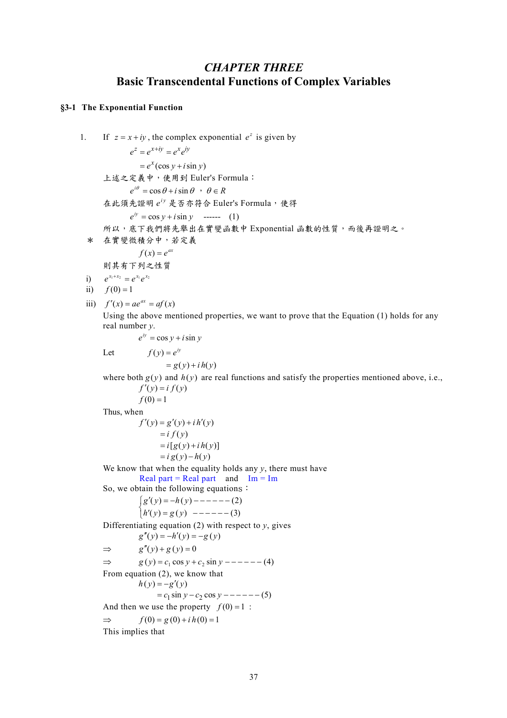# *CHAPTER THREE*  **Basic Transcendental Functions of Complex Variables**

# **§3-1 The Exponential Function**

1. If 
$$
z = x + iy
$$
, the complex exponential  $e^z$  is given by  
\n
$$
e^z = e^{x+iy} = e^x e^{iy}
$$
\n2.  $\ddot{x} \leq \frac{1}{2} \times \frac{1}{2} \times \frac{1}{2} \times \frac{1}{2} \times \frac{1}{2} \times \frac{1}{2} \times \frac{1}{2} \times \frac{1}{2} \times \frac{1}{2} \times \frac{1}{2} \times \frac{1}{2} \times \frac{1}{2} \times \frac{1}{2} \times \frac{1}{2} \times \frac{1}{2} \times \frac{1}{2} \times \frac{1}{2} \times \frac{1}{2} \times \frac{1}{2} \times \frac{1}{2} \times \frac{1}{2} \times \frac{1}{2} \times \frac{1}{2} \times \frac{1}{2} \times \frac{1}{2} \times \frac{1}{2} \times \frac{1}{2} \times \frac{1}{2} \times \frac{1}{2} \times \frac{1}{2} \times \frac{1}{2} \times \frac{1}{2} \times \frac{1}{2} \times \frac{1}{2} \times \frac{1}{2} \times \frac{1}{2} \times \frac{1}{2} \times \frac{1}{2} \times \frac{1}{2} \times \frac{1}{2} \times \frac{1}{2} \times \frac{1}{2} \times \frac{1}{2} \times \frac{1}{2} \times \frac{1}{2} \times \frac{1}{2} \times \frac{1}{2} \times \frac{1}{2} \times \frac{1}{2} \times \frac{1}{2} \times \frac{1}{2} \times \frac{1}{2} \times \frac{1}{2} \times \frac{1}{2} \times \frac{1}{2} \times \frac{1}{2} \times \frac{1}{2} \times \frac{1}{2} \times \frac{1}{2} \times \frac{1}{2} \times \frac{1}{2} \times \frac{1}{2} \times \frac{1}{2} \times \frac{1}{2} \times \frac{1}{2} \times \frac{1}{2} \times \frac{1}{2} \times \frac{1}{2} \times \frac{1}{2} \times \frac{1}{2} \times \frac{1}{2} \times \frac{1}{2} \times \frac{1}{2} \times \frac{1}{2} \times \frac{1}{2} \times \frac{1}{2} \times \frac{1}{2} \times \$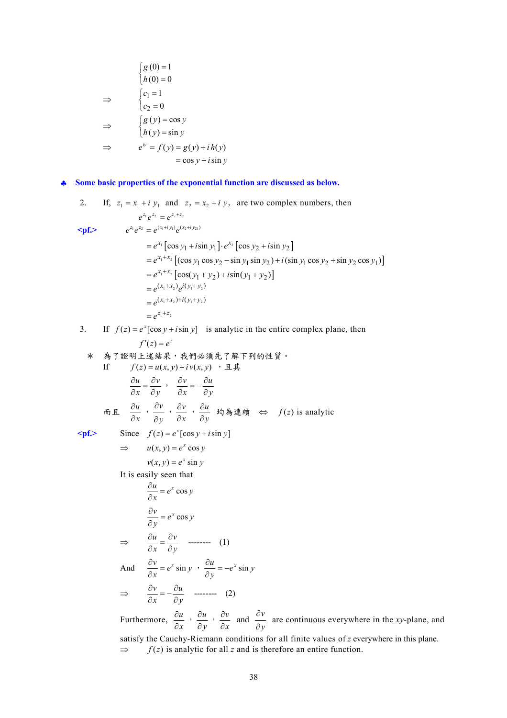$$
\begin{cases}\ng(0) = 1 \\
h(0) = 0\n\end{cases}
$$
\n
$$
\Rightarrow \qquad\n\begin{cases}\nc_1 = 1 \\
c_2 = 0\n\end{cases}
$$
\n
$$
\Rightarrow \qquad\n\begin{cases}\ng(y) = \cos y \\
h(y) = \sin y\n\end{cases}
$$
\n
$$
\Rightarrow \qquad e^{iy} = f(y) = g(y) + i h(y)
$$
\n
$$
= \cos y + i \sin y
$$

♣ **Some basic properties of the exponential function are discussed as below.** 

2. If, 
$$
z_1 = x_1 + i y_1
$$
 and  $z_2 = x_2 + i y_2$  are two complex numbers, then  
\n $e^{z_1}e^{z_2} = e^{z_2+z_2}$   
\n $e^{z_1}e^{z_2} = e^{(x_1+i y_1)}e^{(x_2+i y_2)}$   
\n $= e^{x_1}[\cos y_1 + i\sin y_1] \cdot e^{x_2}[\cos y_2 + i\sin y_2]$   
\n $= e^{x_1+x_2}[(\cos y_1 \cos y_2 - \sin y_1 \sin y_2) + i(\sin y_1 \cos y_2 + \sin y_2 \cos y_1)]$   
\n $= e^{x_1+x_2}[\cos(y_1 + y_2) + i\sin(y_1 + y_2)]$   
\n $= e^{(x_1+x_2)}e^{i(y_1+y_2)}$   
\n $= e^{(x_1+x_2)+i(y_1+y_2)}$   
\n $= e^{z_1+z_2}$ 

3. If  $f(z) = e^x [\cos y + i \sin y]$  is analytic in the entire complex plane, then  $f'(z) = e^z$ 

★ 
$$
\frac{1}{2} \mathbf{B} \cdot \frac{1}{2} \mathbf{B} \cdot \frac{1}{2} \cdot \frac{1}{2} \cdot \frac{1}{2} \cdot \frac{1}{2} \cdot \frac{1}{2} \cdot \frac{1}{2} \cdot \frac{1}{2} \cdot \frac{1}{2} \cdot \frac{1}{2} \cdot \frac{1}{2} \cdot \frac{1}{2} \cdot \frac{1}{2} \cdot \frac{1}{2} \cdot \frac{1}{2} \cdot \frac{1}{2} \cdot \frac{1}{2} \cdot \frac{1}{2} \cdot \frac{1}{2} \cdot \frac{1}{2} \cdot \frac{1}{2} \cdot \frac{1}{2} \cdot \frac{1}{2} \cdot \frac{1}{2} \cdot \frac{1}{2} \cdot \frac{1}{2} \cdot \frac{1}{2} \cdot \frac{1}{2} \cdot \frac{1}{2} \cdot \frac{1}{2} \cdot \frac{1}{2} \cdot \frac{1}{2} \cdot \frac{1}{2} \cdot \frac{1}{2} \cdot \frac{1}{2} \cdot \frac{1}{2} \cdot \frac{1}{2} \cdot \frac{1}{2} \cdot \frac{1}{2} \cdot \frac{1}{2} \cdot \frac{1}{2} \cdot \frac{1}{2} \cdot \frac{1}{2} \cdot \frac{1}{2} \cdot \frac{1}{2} \cdot \frac{1}{2} \cdot \frac{1}{2} \cdot \frac{1}{2} \cdot \frac{1}{2} \cdot \frac{1}{2} \cdot \frac{1}{2} \cdot \frac{1}{2} \cdot \frac{1}{2} \cdot \frac{1}{2} \cdot \frac{1}{2} \cdot \frac{1}{2} \cdot \frac{1}{2} \cdot \frac{1}{2} \cdot \frac{1}{2} \cdot \frac{1}{2} \cdot \frac{1}{2} \cdot \frac{1}{2} \cdot \frac{1}{2} \cdot \frac{1}{2} \cdot \frac{1}{2} \cdot \frac{1}{2} \cdot \frac{1}{2} \cdot \frac{1}{2} \cdot \frac{1}{2} \cdot \frac{1}{2} \cdot \frac{1}{2} \cdot \frac{1}{2} \cdot \frac{1}{2} \cdot \frac{1}{2} \cdot \frac{1}{2} \cdot \frac{1}{2} \cdot \frac{1}{2} \cdot \frac{1}{2} \cdot \frac{1}{2} \cdot \frac{1}{2} \cdot \frac{1}{2} \cdot \frac{1}{2
$$

Furthermore,  $\frac{\partial u}{\partial x}$ *u*  $\frac{\partial u}{\partial x}$ ,  $\frac{\partial u}{\partial y}$  $\frac{\partial u}{\partial y}$ ,  $\frac{\partial v}{\partial x}$  $\frac{\partial v}{\partial x}$  and *y v* ∂ ∂ are continuous everywhere in the *xy*-plane, and satisfy the Cauchy-Riemann conditions for all finite values of *z* everywhere in this plane.  $\Rightarrow$  *f*(*z*) is analytic for all *z* and is therefore an entire function.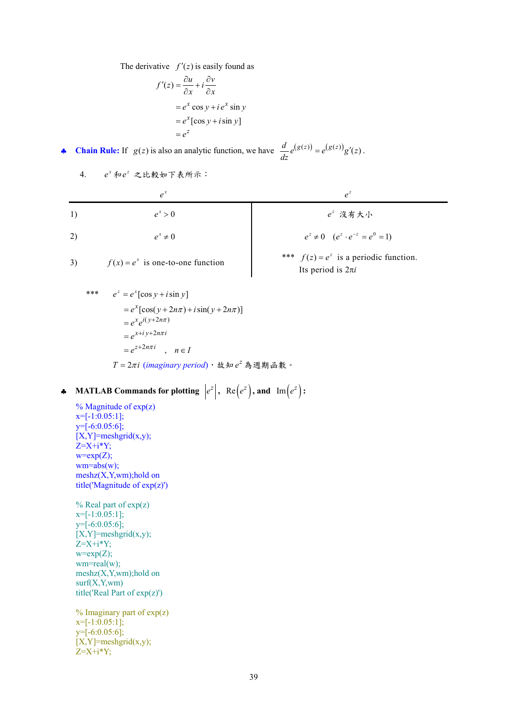The derivative  $f'(z)$  is easily found as

$$
f'(z) = \frac{\partial u}{\partial x} + i \frac{\partial v}{\partial x}
$$
  
=  $e^x \cos y + ie^x \sin y$   
=  $e^x [\cos y + i \sin y]$   
=  $e^z$ 

• **Chain Rule:** If  $g(z)$  is also an analytic function, we have  $\frac{d}{dz}e^{(g(z))} = e^{(g(z))}g'(z)$ .

4. 
$$
e^x \hbar e^z
$$
 之比較如下表所示:

| 1) | $e^x > 0$    | $e^z$ 没有大小                                  |
|----|--------------|---------------------------------------------|
| 2) | $e^x \neq 0$ | $e^z \neq 0$ $(e^z \cdot e^{-z} = e^0 = 1)$ |

$$
f(x) = e^x
$$
 is one-to-

\*\*\*

\n
$$
e^{z} = e^{x} [\cos y + i \sin y]
$$
\n
$$
= e^{x} [\cos(y + 2n\pi) + i \sin(y + 2n\pi)]
$$
\n
$$
= e^{x} e^{i(y + 2n\pi)}
$$
\n
$$
= e^{x + iy + 2n\pi i}
$$
\n
$$
= e^{z + 2n\pi i}, \quad n \in I
$$
\n
$$
T = 2\pi i \text{ (imaginary period)} \cdot \text{ if } \sin e^{z} \text{ is } \text{iff } \sin \theta \text{ is } 0
$$

◆ **MATLAB Commands for plotting**  $|e^z|$ , Re $(e^z)$ , and Im $(e^z)$ :

 $%$  Magnitude of  $exp(z)$  $x=[-1:0.05:1];$ y=[-6:0.05:6];  $[X, Y]$ =meshgrid $(x,y)$ ;  $Z=X+i*Y;$  $w=exp(Z);$  $wm = abs(w);$ meshz(X,Y,wm);hold on title('Magnitude of exp(z)')

 $%$  Real part of  $exp(z)$  $x=[-1:0.05:1]$ ; y=[-6:0.05:6];  $[X, Y]$ =meshgrid $(x,y)$ ; Z=X+i\*Y;  $w=exp(Z);$ wm=real(w); meshz(X,Y,wm);hold on  $surf(X, Y, wm)$ title('Real Part of exp(z)')

 $%$  Imaginary part of  $exp(z)$  $x=[-1:0.05:1]$ ; y=[-6:0.05:6];  $[X, Y]$ =meshgrid $(x,y)$ ;  $Z=X+i*Y;$ 

(a) 
$$
e^{x} \neq 0
$$

\n(b) 
$$
e^{x} \neq 0
$$

\n(c) 
$$
e^{z} \neq 0
$$

\n(d) 
$$
e^{z} \neq 0
$$

\n(e) 
$$
e^{z} \neq 0
$$

\n(f) 
$$
e^{z} \neq 0
$$

\n(f) 
$$
e^{z} \neq 0
$$

\nAns. 
$$
f(z) = e^{z}
$$
 is a periodic function.

\nIts period is 
$$
2\pi i
$$

39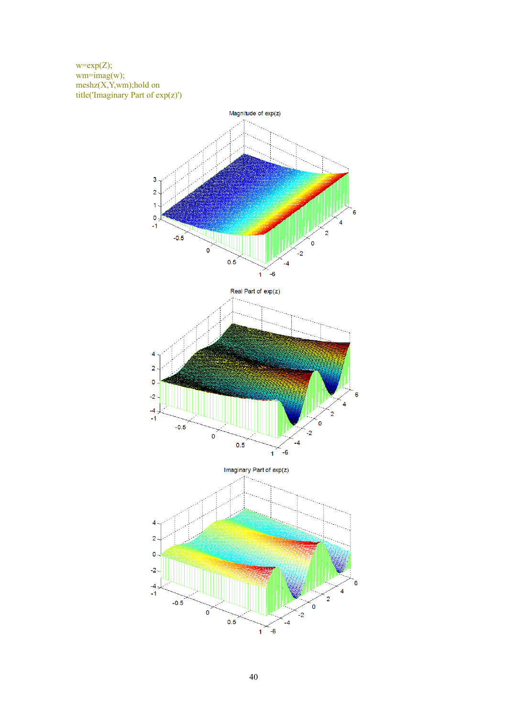$w=exp(Z);$  $wm=imag(w);$ meshz(X,Y,wm);hold on title('Imaginary Part of exp(z)')

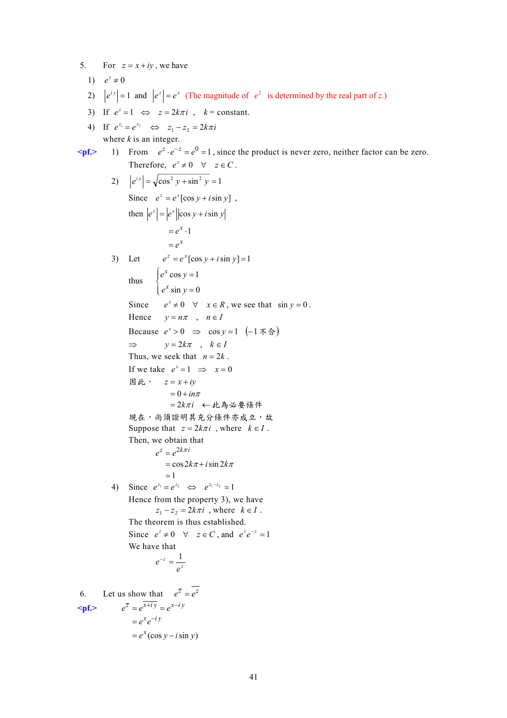5. For  $z = x + iy$ , we have 1)  $e^z \neq 0$ 2)  $|e^{iy}| = 1$  and  $|e^z| = e^x$  (The magnitude of  $e^z$  is determined by the real part of *z*.) 3) If  $e^z = 1 \Leftrightarrow z = 2k\pi i$ ,  $k = \text{constant}$ . 4) If  $e^{z_1} = e^{z_2} \iff z_1 - z_2 = 2k\pi i$ where  $k$  is an integer.  $\epsilon_{\text{pf}}$  1) From  $e^z \cdot e^{-z} = e^0 = 1$ , since the product is never zero, neither factor can be zero. Therefore,  $e^z \neq 0 \quad \forall \quad z \in C$ . 2)  $|e^{iy}| = \sqrt{\cos^2 y + \sin^2 y} = 1$ Since  $e^z = e^x [\cos y + i \sin y]$ , then  $|e^z| = |e^x| |\cos y + i \sin y|$  $= e^x \cdot 1$  $= e^x$ 3) Let  $e^{z} = e^{x} [\cos y + i \sin y] = 1$ thus  $\cos y = 1$  $\sin y = 0$ *x x*  $e^x$  cos  $y$  $e^x$  sin  $y$  $\int e^x \cos y =$  $\int e^x \sin y =$ Since  $e^x \neq 0 \quad \forall \quad x \in R$ , we see that  $\sin y = 0$ . Hence  $y = n\pi$ ,  $n \in I$ Because  $e^x > 0$  ⇒  $\cos y = 1$  (-1 不合)  $\Rightarrow$   $y = 2k\pi$ ,  $k \in I$ Thus, we seek that  $n = 2k$ . If we take  $e^x = 1 \implies x = 0$ 因此, *z* = *x* + *iy*  $= 0 + in\pi$ =  $2k\pi i$  ←此為必要條件 現在,尚須證明其充分條件亦成立,故 Suppose that  $z = 2k\pi i$ , where  $k \in I$ . Then, we obtain that  $e^z = e^{2k\pi i}$  $=$  cos  $2k\pi + i\sin 2k\pi$  $=1$ 4) Since  $e^{z_1} = e^{z_2} \Leftrightarrow e^{z_1-z_2} = 1$ Hence from the property 3), we have  $z_1 - z_2 = 2k\pi i$ , where  $k \in I$ . The theorem is thus established. Since  $e^z \neq 0 \quad \forall \quad z \in C$ , and  $e^z e^{-z} = 1$ We have that  $e^{-z} = \frac{1}{z^2}$ *e*  $e^{-z} = \frac{1}{z}$ 6. Let us show that  $e^{\overline{z}} = e^{\overline{z}}$  $\epsilon \mathbf{p}$ **f.**>  $e^{\overline{z}} = e^{\overline{x + iy}} = e^{x - iy}$  $= e^x (\cos y - i \sin y)$  $= e^x e^{-iy}$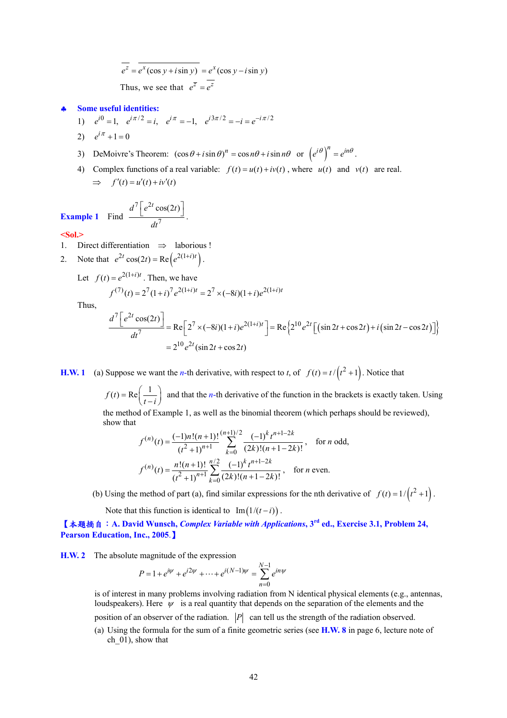$$
\overline{e^z} = \overline{e^x(\cos y + i \sin y)} = e^x(\cos y - i \sin y)
$$
  
Thus, we see that  $e^{\overline{z}} = \overline{e^z}$ 

#### ♣ **Some useful identities:**

- 1)  $e^{i0} = 1$ ,  $e^{i\pi/2} = i$ ,  $e^{i\pi} = -1$ ,  $e^{i3\pi/2} = -i = e^{-i\pi/2}$
- 2)  $e^{i\pi} + 1 = 0$
- 3) DeMoivre's Theorem:  $(\cos \theta + i \sin \theta)^n = \cos n\theta + i \sin n\theta$  or  $(e^{i\theta})^n = e^{in\theta}$ .
- 4) Complex functions of a real variable:  $f(t) = u(t) + iv(t)$ , where  $u(t)$  and  $v(t)$  are real.  $\implies$   $f'(t) = u'(t) + iv'(t)$

**Example 1** Find 
$$
\frac{d^7 \left[e^{2t} \cos(2t)\right]}{dt^7}
$$

#### **<Sol.>**

1. Direct differentiation ⇒ laborious !

2. Note that 
$$
e^{2t} \cos(2t) = \text{Re}\left(e^{2(1+i)t}\right)
$$
.

Let 
$$
f(t) = e^{2(1+i)t}
$$
. Then, we have

7

 $\frac{e^{2t}\cos(2t)}{1}$ .

*dt*

$$
f^{(7)}(t) = 2^{7} (1+i)^{7} e^{2(1+i)t} = 2^{7} \times (-8i)(1+i)e^{2(1+i)t}
$$

Thus,

$$
\frac{d^7 \left[e^{2t} \cos(2t)\right]}{dt^7} = \text{Re}\left[2^7 \times (-8i)(1+i)e^{2(1+i)t}\right] = \text{Re}\left\{2^{10} e^{2t} \left[\left(\sin 2t + \cos 2t\right) + i\left(\sin 2t - \cos 2t\right)\right]\right\}
$$

$$
= 2^{10} e^{2t} (\sin 2t + \cos 2t)
$$

**H.W. 1** (a) Suppose we want the *n*-th derivative, with respect to *t*, of  $f(t) = t/(t^2 + 1)$ . Notice that

 $f(t) = \text{Re}\left(\frac{1}{t-i}\right)$  and that the *n*-th derivative of the function in the brackets is exactly taken. Using the method of Example 1, as well as the binomial theorem (which perhaps should be reviewed), show that

$$
f^{(n)}(t) = \frac{(-1)n!(n+1)!}{(t^2+1)^{n+1}} \sum_{k=0}^{(n+1)/2} \frac{(-1)^k t^{n+1-2k}}{(2k)!(n+1-2k)!}, \text{ for } n \text{ odd,}
$$
  

$$
f^{(n)}(t) = \frac{n!(n+1)!}{(t^2+1)^{n+1}} \sum_{k=0}^{n/2} \frac{(-1)^k t^{n+1-2k}}{(2k)!(n+1-2k)!}, \text{ for } n \text{ even.}
$$

(b) Using the method of part (a), find similar expressions for the nth derivative of  $f(t) = 1/(t^2 + 1)$ .

Note that this function is identical to  $Im(1/(t-i))$ .

【本題摘自:**A. David Wunsch,** *Complex Variable with Applications***, 3rd ed., Exercise 3.1, Problem 24, Pearson Education, Inc., 2005**.】

**H.W. 2** The absolute magnitude of the expression

$$
P = 1 + e^{i\psi} + e^{i2\psi} + \dots + e^{i(N-1)\psi} = \sum_{n=0}^{N-1} e^{in\psi}
$$

is of interest in many problems involving radiation from N identical physical elements (e.g., antennas, loudspeakers). Here  $\psi$  is a real quantity that depends on the separation of the elements and the position of an observer of the radiation.  $|P|$  can tell us the strength of the radiation observed.

(a) Using the formula for the sum of a finite geometric series (see **H.W. 8** in page 6, lecture note of ch 01), show that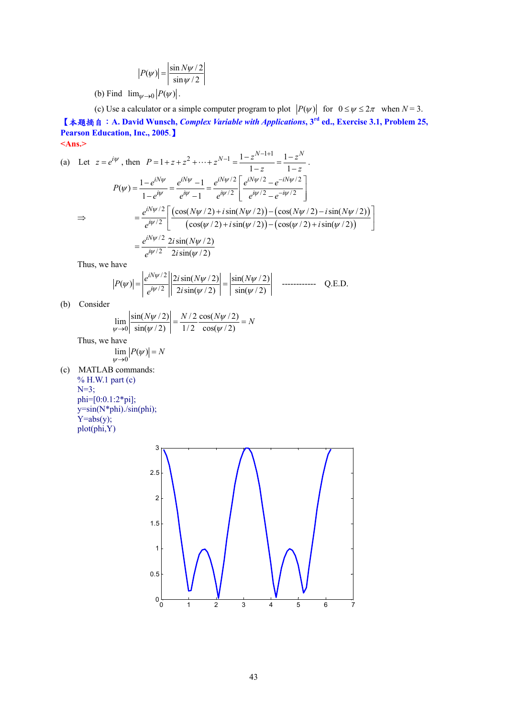$$
|P(\psi)| = \left| \frac{\sin N\psi/2}{\sin \psi/2} \right|
$$

(b) Find  $\lim_{\psi \to 0} |P(\psi)|$ .

(c) Use a calculator or a simple computer program to plot  $|P(\psi)|$  for  $0 \le \psi \le 2\pi$  when  $N = 3$ . 【本題摘自:**A. David Wunsch,** *Complex Variable with Applications***, 3rd ed., Exercise 3.1, Problem 25, Pearson Education, Inc., 2005**.】 **<Ans.>** 

(a) Let 
$$
z = e^{i\psi}
$$
, then  $P = 1 + z + z^2 + \dots + z^{N-1} = \frac{1 - z^{N-1+1}}{1 - z} = \frac{1 - z^N}{1 - z}$ .  
\n
$$
P(\psi) = \frac{1 - e^{iN\psi}}{1 - e^{i\psi}} = \frac{e^{iN\psi} - 1}{e^{i\psi} - 1} = \frac{e^{iN\psi/2}}{e^{i\psi/2}} \left[ \frac{e^{iN\psi/2} - e^{-iN\psi/2}}{e^{i\psi/2} - e^{-i\psi/2}} \right]
$$
\n
$$
\Rightarrow = \frac{e^{iN\psi/2}}{e^{i\psi/2}} \left[ \frac{(\cos(N\psi/2) + i\sin(N\psi/2)) - (\cos(N\psi/2) - i\sin(N\psi/2))}{(\cos(\psi/2) + i\sin(\psi/2)) - (\cos(\psi/2) + i\sin(\psi/2))} \right]
$$
\n
$$
= \frac{e^{iN\psi/2}}{e^{i\psi/2}} \frac{2i\sin(N\psi/2)}{2i\sin(\psi/2)}
$$

Thus, we have

$$
P(\psi)| = \left| \frac{e^{iN\psi/2}}{e^{i\psi/2}} \right| \left| \frac{2i\sin(N\psi/2)}{2i\sin(\psi/2)} \right| = \left| \frac{\sin(N\psi/2)}{\sin(\psi/2)} \right| \quad \text{2.2.2.2}
$$

(b) Consider

$$
\lim_{\psi \to 0} \left| \frac{\sin(N\psi/2)}{\sin(\psi/2)} \right| = \frac{N/2}{1/2} \frac{\cos(N\psi/2)}{\cos(\psi/2)} = N
$$

Thus, we have

$$
\lim_{\psi\to 0}|P(\psi)|=N
$$

(c) MATLAB commands: % H.W.1 part (c)  $N=3$ ; phi=[0:0.1:2\*pi];  $y=sin(N<sup>*</sup>phi)./sin(\phi hi);$  $Y=abs(y);$ plot(phi,Y)

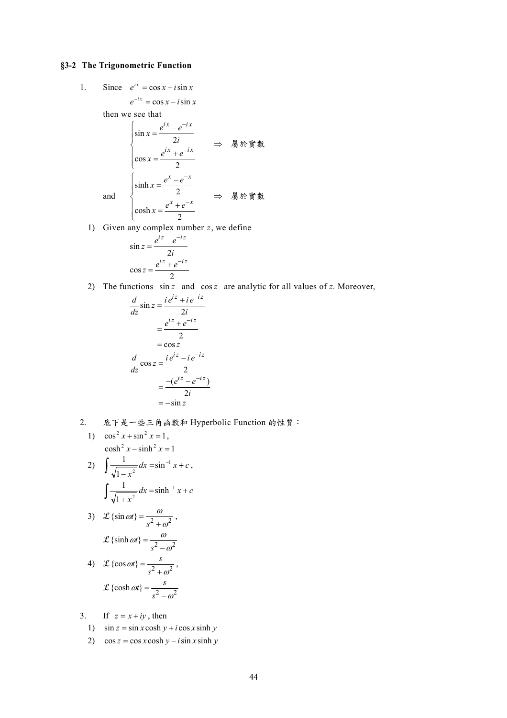## **§3-2 The Trigonometric Function**

1. Since  $e^{ix} = \cos x + i \sin x$ 

 $e^{-ix} = \cos x - i \sin x$ 

then we see that

$$
\begin{cases}\n\sin x = \frac{e^{ix} - e^{-ix}}{2i} \\
\cos x = \frac{e^{ix} + e^{-ix}}{2} \Rightarrow \quad \text{M} \land \text{m} \text{ with } x = \frac{e^{x} - e^{-x}}{2} \\
\cosh x = \frac{e^{x} + e^{-x}}{2} \Rightarrow \quad \text{M} \land \text{m} \text{ with } x = \frac{e^{x} + e^{-x}}{2}\n\end{cases}
$$

1) Given any complex number *z*, we define

$$
\sin z = \frac{e^{iz} - e^{-iz}}{2i}
$$

$$
\cos z = \frac{e^{iz} + e^{-iz}}{2}
$$

2) The functions  $\sin z$  and  $\cos z$  are analytic for all values of *z*. Moreover,

$$
\frac{d}{dz}\sin z = \frac{ie^{iz} + ie^{-iz}}{2i}
$$
\n
$$
= \frac{e^{iz} + e^{-iz}}{2}
$$
\n
$$
= \cos z
$$
\n
$$
\frac{d}{dz}\cos z = \frac{ie^{iz} - ie^{-iz}}{2}
$$
\n
$$
= \frac{-(e^{iz} - e^{-iz})}{2i}
$$
\n
$$
= -\sin z
$$

2. 底下是一些三角函數和 Hyperbolic Function 的性質:

1) 
$$
\cos^2 x + \sin^2 x = 1
$$
,  
\n $\cosh^2 x - \sinh^2 x = 1$ 

2) 
$$
\int \frac{1}{\sqrt{1 - x^2}} dx = \sin^{-1} x + c,
$$

$$
\int \frac{1}{\sqrt{1 + x^2}} dx = \sinh^{-1} x + c
$$

3) 
$$
\mathcal{L} \{\sin \omega t\} = \frac{\omega}{s^2 + \omega^2}
$$
,  
 $\mathcal{L} \{\sinh \omega t\} = \frac{\omega}{s^2 - \omega^2}$ 

4) 
$$
\mathcal{L}\left\{\cos \omega t\right\} = \frac{s}{s^2 + \omega^2}
$$
,  
 $\mathcal{L}\left\{\cosh \omega t\right\} = \frac{s}{s^2 - \omega^2}$ 

3. If  $z = x + iy$ , then

- 1)  $\sin z = \sin x \cosh y + i \cos x \sinh y$
- 2)  $\cos z = \cos x \cosh y i \sin x \sinh y$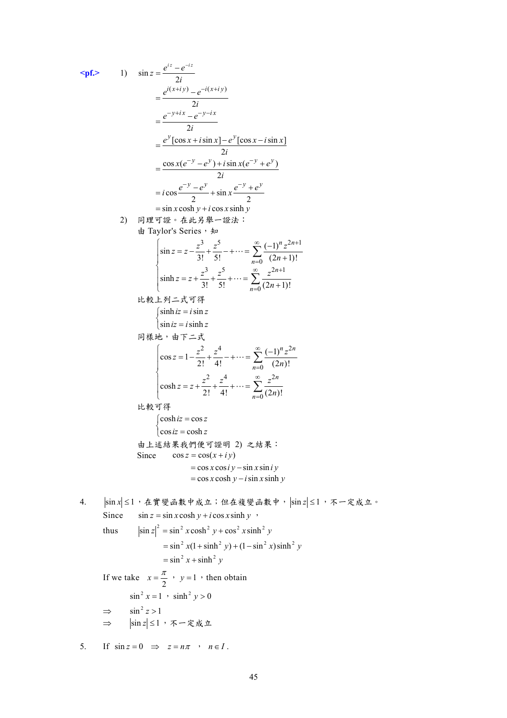\n
$$
\begin{aligned}\n &\text{snr} = \frac{e^{t^2} - e^{-t^2}}{2t} \\
 &= \frac{e^{t(x+iy)} - e^{-t(x+iy)}}{2t} \\
 &= \frac{e^{-y - tx} - e^{-y - tx}}{2t} \\
 &= \frac{e^{y}[\cos x + i\sin x] - e^{y}[\cos x - i\sin x]}{2t} \\
 &= \frac{\cos x(e^{-y} - e^{y}) + i\sin x(e^{-y} + e^{y})}{2t} \\
 &= i\cos \frac{e^{-y} - e^{y}}{2t} + \sin x \frac{e^{-y} + e^{y}}{2t} \\
 &= \sin x \cosh y + i\cos x \sinh y \\
 &= \sin x \cosh y + i\cos x \sinh y \\
 &= \sin x \cosh y + i\cos x \sinh y \\
 &= \sin x \cosh y + i\cos x \sinh y \\
 &= \sin x \sinh y\n \end{aligned}
$$
\n\n
$$
\begin{aligned}\n &\text{snr} = z - \frac{z^3}{3t} + \frac{z^5}{3t} + \cdots = \sum_{n=0}^{\infty} \frac{(-1)^n z^{2n+1}}{(2n+1)!} \\
 &= \sinh z = z + \frac{z^3}{3t} + \frac{z^5}{5t} + \cdots = \sum_{n=0}^{\infty} \frac{z^{2n+1}}{(2n+1)!} \\
 &= \sinh z = i\sin z\n \end{aligned}
$$
\n\n
$$
\begin{aligned}\n &\text{snr} = z + \frac{z^3}{3t} + \frac{z^4}{5t} + \cdots = \sum_{n=0}^{\infty} \frac{z^{2n+1}}{(2n+1)!} \\
 &= \sinh z = -\frac{z^2}{2t} + \frac{z^4}{4t} + \cdots = \sum_{n=0}^{\infty} \frac{z^{2n}}{(2n)!} \\
 &= \cos kz = -\cos kz\n \end{aligned}
$$
\n\n
$$
\begin{aligned}\n &\text{snr} = \cos z \\
 &= \cos z\n \end{aligned}
$$
\n\n
$$
\begin{aligned}\n &\text{snr} = \sin x \cosh y + i\cos x \sinh y \\
 &= \cos x \cosh y - i\sin x \sinh y \\
 &
$$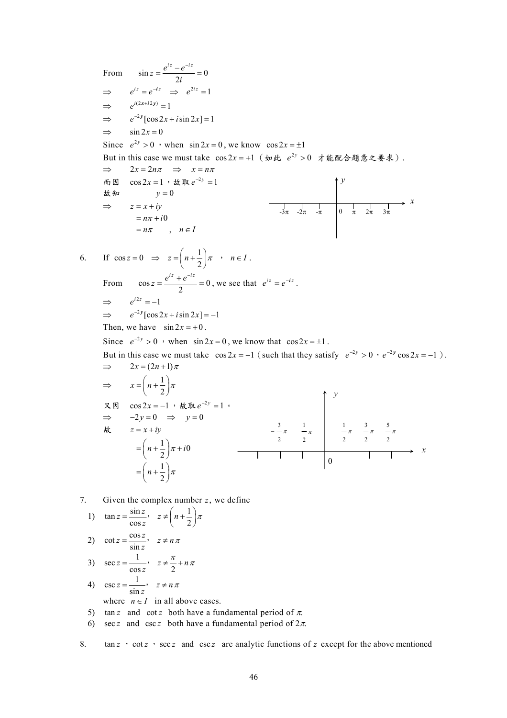From  $\sin z = \frac{e^{iz} - e^{-iz}}{2i} = 0$  $z = \frac{e^{iz} - e^{-iz}}{2i}$  $\Rightarrow$   $e^{iz} = e^{-iz} \Rightarrow e^{2iz} = 1$  $\Rightarrow$   $e^{i(2x+i2y)} = 1$  $\Rightarrow$   $e^{-2y} [\cos 2x + i \sin 2x] = 1$  $\Rightarrow$   $\sin 2x = 0$ Since  $e^{2y} > 0$  , when  $\sin 2x = 0$ , we know  $\cos 2x = \pm 1$ But in this case we must take  $\cos 2x = +1$  (如此  $e^{2y} > 0$  才能配合題意之要求).  $\Rightarrow$  2*x* = 2*n* $\pi$   $\Rightarrow$  *x* = *n* $\pi$ 而因  $\cos 2x = 1$ , 故取  $e^{-2y} = 1$ 故知  $y = 0$  $\Rightarrow$  *z* = *x* + *iy*  $=n\pi+i0$  $=n\pi$ ,  $n \in I$ 6. If  $\cos z = 0 \Rightarrow z = \left(n + \frac{1}{2}\right)\pi$ ,  $n \in I$ . From  $\cos z = \frac{e^{iz} + e^{-iz}}{2} = 0$ , we see that  $e^{iz} = e^{-iz}$ .  $\Rightarrow$   $e^{i2z} = -1$  $\Rightarrow$   $e^{-2y} [\cos 2x + i \sin 2x] = -1$ Then, we have  $\sin 2x = +0$ . Since  $e^{-2y} > 0$  , when  $\sin 2x = 0$ , we know that  $\cos 2x = \pm 1$ . But in this case we must take  $\cos 2x = -1$  (such that they satisfy  $e^{-2y} > 0$ ,  $e^{-2y} \cos 2x = -1$ ).  $\Rightarrow 2x = (2n+1)\pi$  $\Rightarrow$   $x = \left(n + \frac{1}{2}\right)\pi$ 又因  $\cos 2x = -1$ ,故取 $e^{-2y} = 1$ 。  $\Rightarrow -2y = 0 \Rightarrow y = 0$ 故 *z* = *x* + *iy*  $\left(n+\frac{1}{2}\right)\pi+i0$ 1  $n+\frac{1}{2}\bigg[\pi$  $=\left(n+\frac{1}{2}\right)\pi +$  $=\left(n+\frac{1}{2}\right)$ *y x*   $-3\pi$   $-2\pi$   $-\pi$  | 0  $\pi$  2π 3π *y x* 0  $\frac{\pi}{2}$  $\frac{3}{2-\pi}$   $\frac{1}{-\pi}$ 2  $-\frac{1}{\pi}$   $\frac{1}{\pi}$ 2  $\frac{1}{\pi} \pi \frac{3}{2} \pi$  $\frac{3}{\pi}$   $\frac{5}{\pi}$ <br>2 2 5

7. Given the complex number *z*, we define

1) 
$$
\tan z = \frac{\sin z}{\cos z}, \quad z \neq \left(n + \frac{1}{2}\right)\pi
$$
  
2)  $\cot z = \frac{\cos z}{\sin z}, \quad z \neq n\pi$ 

3) 
$$
\sec z = \frac{1}{\cos z}, \quad z \neq \frac{\pi}{2} + n\pi
$$

- 4)  $\csc z = \frac{1}{\sin z}, \quad z \neq n\pi$ where  $n \in I$  in all above cases.
- 5) tan *z* and cot *z* both have a fundamental period of  $\pi$ .
- 6) sec *z* and  $csc z$  both have a fundamental period of  $2\pi$ .

8. tan *z* , cot *z* , sec *z* and csc *z* are analytic functions of *z* except for the above mentioned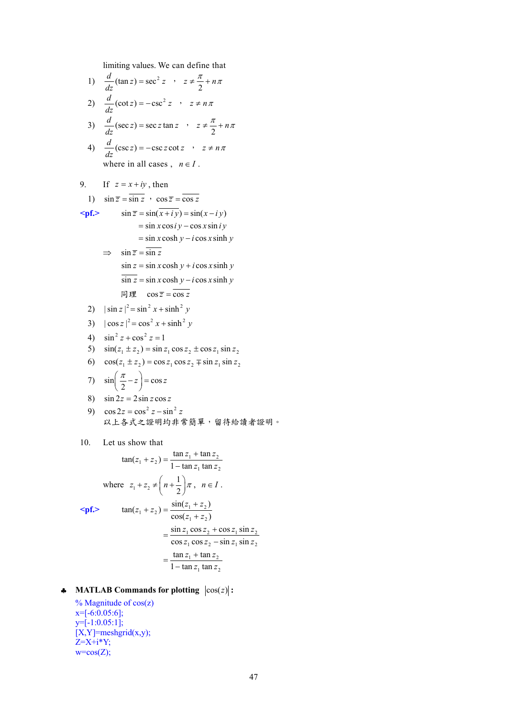limiting values. We can define that

1) 
$$
\frac{d}{dz}(\tan z) = \sec^2 z
$$
,  $z \neq \frac{\pi}{2} + n\pi$   
\n2)  $\frac{d}{dz}(\cot z) = -\csc^2 z$ ,  $z \neq n\pi$   
\n3)  $\frac{d}{dz}(\sec z) = \sec z \tan z$ ,  $z \neq \frac{\pi}{2} + n\pi$   
\n4)  $\frac{d}{dz}(\csc z) = -\csc z \cot z$ ,  $z \neq n\pi$   
\nwhere in all cases,  $n \in I$ .  
\n9. If  $z = x + iy$ , then  
\n1)  $\sin \overline{z} = \sin \overline{z}$ ,  $\cos \overline{z} = \overline{\cos z}$   
\n $\leq \text{pf.}$   $\sin \overline{z} = \sin(\overline{x} + iy) = \sin(x - iy)$   
\n $= \sin x \cos y - \cos x \sin y$   
\n $= \sin x \cosh y - i \cos x \sinh y$   
\n $\Rightarrow \sin \overline{z} = \overline{\sin z}$   
\n $\sin z = \sin x \cosh y + i \cos x \sinh y$   
\n $\overline{\sin z} = \sin x \cosh y - i \cos x \sinh y$   
\n $\overline{\sin y} = \cos \overline{z}$   
\n2)  $|\sin z|^2 = \sin^2 x + \sinh^2 y$   
\n3)  $|\cos z|^2 = \cos^2 x + \sinh^2 y$   
\n4)  $\sin^2 z + \cos^2 z = 1$   
\n5)  $\sin(z_1 \pm z_2) = \sin z_1 \cos z_2 \pm \cos z_1 \sin z_2$   
\n6)  $\cos(z_1 \pm z_2) = \cos z_1 \cos z_2 \mp \sin z_1 \sin z_2$   
\n7)  $\sin(\frac{\pi}{2} - z) = \cos z$   
\n8)  $\sin 2z = 2 \sin z \cos z$   
\n9)  $\cos 2z = \cos^2 z - \sin^2 z$   
\n10. Let us show that  
\n $\tan(z_1 + z_2) = \frac{\tan z_1 + \tan z_2}{1 - \tan z_1 \tan z_2}$ <

$$
\begin{aligned}\n &\text{expf.}} \quad \tan(z_1 + z_2) = \frac{\sin(z_1 + z_2)}{\cos(z_1 + z_2)} \\
 &= \frac{\sin z_1 \cos z_2 + \cos z_1 \sin z_2}{\cos z_1 \cos z_2 - \sin z_1 \sin z_2} \\
 &= \frac{\tan z_1 + \tan z_2}{1 - \tan z_1 \tan z_2}\n \end{aligned}
$$

- $\triangle$  **MATLAB Commands for plotting**  $|\cos(z)|$ **:** 
	- % Magnitude of cos(z)  $x=[-6:0.05:6];$ y=[-1:0.05:1];  $[X, Y]$ =meshgrid $(x,y)$ ;  $Z=X+i*Y;$  $w = cos(Z);$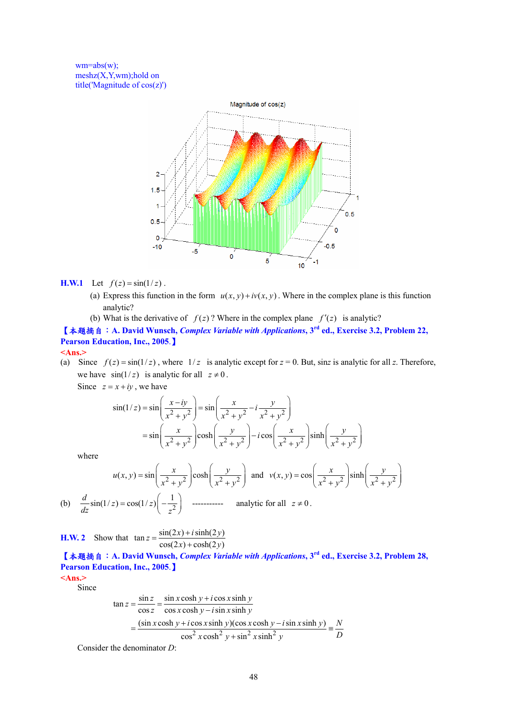$wm = abs(w);$ meshz(X,Y,wm);hold on title('Magnitude of cos(z)')



## **H.W.1** Let  $f(z) = \sin(1/z)$ .

- (a) Express this function in the form  $u(x, y) + iv(x, y)$ . Where in the complex plane is this function analytic?
- (b) What is the derivative of  $f(z)$ ? Where in the complex plane  $f'(z)$  is analytic?

【本題摘自:**A. David Wunsch,** *Complex Variable with Applications***, 3rd ed., Exercise 3.2, Problem 22, Pearson Education, Inc., 2005**.】

## **<Ans.>**

(a) Since  $f(z) = \sin(1/z)$ , where  $1/z$  is analytic except for  $z = 0$ . But, sinz is analytic for all z. Therefore, we have  $sin(1/z)$  is analytic for all  $z \neq 0$ .

Since  $z = x + iy$ , we have

$$
\sin(1/z) = \sin\left(\frac{x - iy}{x^2 + y^2}\right) = \sin\left(\frac{x}{x^2 + y^2} - i\frac{y}{x^2 + y^2}\right)
$$
  
=  $\sin\left(\frac{x}{x^2 + y^2}\right)\cosh\left(\frac{y}{x^2 + y^2}\right) - i\cos\left(\frac{x}{x^2 + y^2}\right)\sinh\left(\frac{y}{x^2 + y^2}\right)$ 

where

$$
u(x, y) = \sin\left(\frac{x}{x^2 + y^2}\right) \cosh\left(\frac{y}{x^2 + y^2}\right) \text{ and } v(x, y) = \cos\left(\frac{x}{x^2 + y^2}\right) \sinh\left(\frac{y}{x^2 + y^2}\right)
$$
  
(b) 
$$
\frac{d}{dz} \sin(1/z) = \cos(1/z) \left(-\frac{1}{z^2}\right) \text{ .......}
$$
 analytic for all  $z \neq 0$ .

**H.W. 2** Show that  $\tan z = \frac{\sin(2x) + i \sinh(2y)}{\cos(2x) + \cosh(2y)}$  $cos(2x) + cosh(2y)$ 

【本題摘自:**A. David Wunsch,** *Complex Variable with Applications***, 3rd ed., Exercise 3.2, Problem 28, Pearson Education, Inc., 2005**.】

**<Ans.>** 

Since

$$
\tan z = \frac{\sin z}{\cos z} = \frac{\sin x \cosh y + i \cos x \sinh y}{\cos x \cosh y - i \sin x \sinh y}
$$

$$
= \frac{(\sin x \cosh y + i \cos x \sinh y)(\cos x \cosh y - i \sin x \sinh y)}{\cos^2 x \cosh^2 y + \sin^2 x \sinh^2 y} = \frac{N}{D}
$$

Consider the denominator *D*: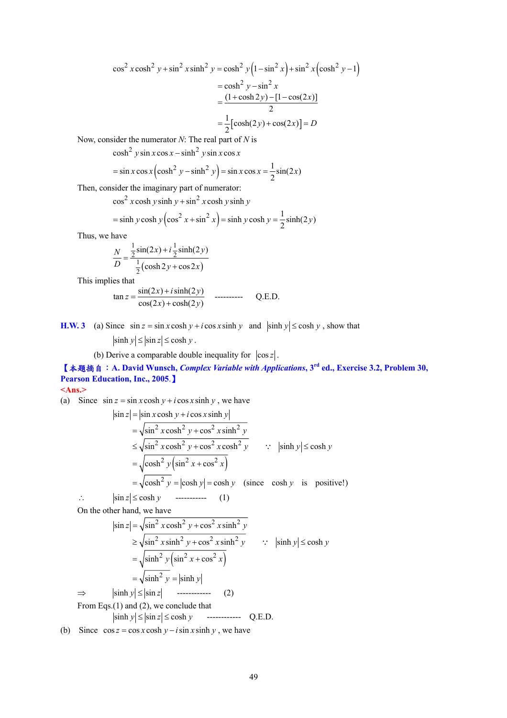$$
\cos^2 x \cosh^2 y + \sin^2 x \sinh^2 y = \cosh^2 y \left(1 - \sin^2 x\right) + \sin^2 x \left(\cosh^2 y - 1\right)
$$
  
=  $\cosh^2 y - \sin^2 x$   
=  $\frac{(1 + \cosh 2y) - [1 - \cos(2x)]}{2}$   
=  $\frac{1}{2} [\cosh(2y) + \cos(2x)] = D$ 

Now, consider the numerator *N*: The real part of *N* is

 $\cosh^2 y \sin x \cos x - \sinh^2 y \sin x \cos x$ 

$$
= \sin x \cos x \left(\cosh^2 y - \sinh^2 y\right) = \sin x \cos x = \frac{1}{2}\sin(2x)
$$

Then, consider the imaginary part of numerator:

 $\cos^2 x \cosh y \sinh y + \sin^2 x \cosh y \sinh y$ 

$$
= \sinh y \cosh y \left( \cos^2 x + \sin^2 x \right) = \sinh y \cosh y = \frac{1}{2} \sinh(2y)
$$

Thus, we have

$$
\frac{N}{D} = \frac{\frac{1}{2}\sin(2x) + i\frac{1}{2}\sinh(2y)}{\frac{1}{2}(\cosh 2y + \cos 2x)}
$$

This implies that

$$
\tan z = \frac{\sin(2x) + i \sinh(2y)}{\cos(2x) + \cosh(2y)} \quad \text{---}
$$
 Q.E.D.

**H.W. 3** (a) Since  $\sin z = \sin x \cosh y + i \cos x \sinh y$  and  $|\sinh y| \le \cosh y$ , show that

 $|\sinh y| \le |\sin z| \le \cosh y$ .

(b) Derive a comparable double inequality for  $|\cos z|$ .

【本題摘自:**A. David Wunsch,** *Complex Variable with Applications***, 3rd ed., Exercise 3.2, Problem 30, Pearson Education, Inc., 2005**.】

**<Ans.>** 

(a) Since  $\sin z = \sin x \cosh y + i \cos x \sinh y$ , we have

$$
|\sin z| = |\sin x \cosh y + i \cos x \sinh y|
$$
  
\n
$$
= \sqrt{\sin^2 x \cosh^2 y + \cos^2 x \sinh^2 y}
$$
  
\n
$$
\leq \sqrt{\sin^2 x \cosh^2 y + \cos^2 x \cosh^2 y}
$$
  $\therefore$   $|\sinh y| \leq \cosh y$   
\n
$$
= \sqrt{\cosh^2 y (\sin^2 x + \cos^2 x)}
$$
  
\n
$$
= \sqrt{\cosh^2 y} = |\cosh y| = \cosh y \quad (\text{since } \cosh y \text{ is positive!})
$$
  
\n
$$
\therefore \quad |\sin z| \leq \cosh y
$$

On the other hand, we have

$$
|\sin z| = \sqrt{\sin^2 x \cosh^2 y + \cos^2 x \sinh^2 y}
$$
  
\n
$$
\ge \sqrt{\sin^2 x \sinh^2 y + \cos^2 x \sinh^2 y}
$$
  $\therefore$   $|\sinh y| \le \cosh y$   
\n
$$
= \sqrt{\sinh^2 y (\sin^2 x + \cos^2 x)}
$$
  
\n
$$
= \sqrt{\sinh^2 y} = |\sinh y|
$$
  
\n
$$
\Rightarrow
$$
  $|\sinh y| \le |\sin z|$    
\n
$$
\Rightarrow
$$
  $|\sinh y| \le |\sin z|$    
\n
$$
\therefore
$$
 (2)  
\nFrom Eqs.(1) and (2), we conclude that  
\n $|\sinh y| \le |\sin z| \le \cosh y$    
\n $\therefore$    
\nQ.E.D.  
\nSince  $\cos z = \cos x \cosh y - i \sin x \sinh y$  we have

(b) Since  $\cos z = \cos x \cosh y - i \sin x \sinh y$ , we have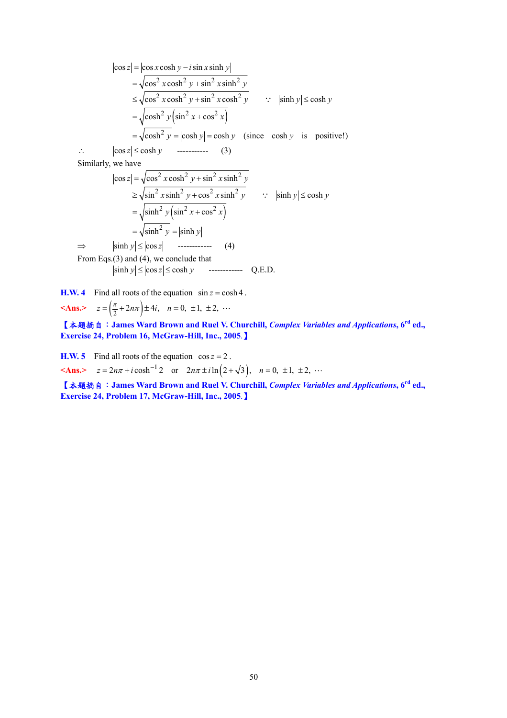$$
|\cos z| = |\cos x \cosh y - i \sin x \sinh y|
$$
  
\n
$$
= \sqrt{\cos^2 x \cosh^2 y + \sin^2 x \sinh^2 y}
$$
  
\n
$$
\leq \sqrt{\cos^2 x \cosh^2 y + \sin^2 x \cosh^2 y}
$$
  $\therefore$   $|\sinh y| \leq \cosh y$   
\n
$$
= \sqrt{\cosh^2 y (\sin^2 x + \cos^2 x)}
$$
  
\n
$$
= \sqrt{\cosh^2 y} = |\cosh y| = \cosh y \text{ (since } \cosh y \text{ is positive!})
$$
  
\n
$$
\therefore |\cos z| \leq \cosh y
$$
  $\text{-(10)}$   
\nSimilarly, we have  
\n
$$
|\cos z| = \sqrt{\cos^2 x \cosh^2 y + \sin^2 x \sinh^2 y}
$$
  
\n
$$
\geq \sqrt{\sin^2 x \sinh^2 y + \cos^2 x \sinh^2 y}
$$
  $\therefore |\sinh y| \leq \cosh y$   
\n
$$
= \sqrt{\sinh^2 y (\sin^2 x + \cos^2 x)}
$$
  
\n
$$
= \sqrt{\sinh^2 y} = |\sinh y|
$$
  
\n
$$
\Rightarrow |\sinh y| \leq |\cos z|
$$
  $\text{-(21)}$   
\nFrom Eqs.(3) and (4), we conclude that  
\n $|\sinh y| \leq |\cos z| \leq \cosh y$   $\text{-(31)}$   
\n $|\sinh y| \leq |\cos z| \leq \cosh y$ 

**H.W. 4** Find all roots of the equation  $\sin z = \cosh 4$ . **<Ans.>**  $z = \left(\frac{\pi}{2} + 2n\pi\right) \pm 4i, \quad n = 0, \pm 1, \pm 2, \cdots$ 

【本題摘自:**James Ward Brown and Ruel V. Churchill,** *Complex Variables and Applications***, 6rd ed., Exercise 24, Problem 16, McGraw-Hill, Inc., 2005**.】

**H.W. 5** Find all roots of the equation  $\cos z = 2$ .

**<Ans.>**  $z = 2n\pi + i \cosh^{-1} 2$  or  $2n\pi \pm i \ln(2 + \sqrt{3})$ ,  $n = 0, \pm 1, \pm 2, \cdots$ 

【本題摘自:**James Ward Brown and Ruel V. Churchill,** *Complex Variables and Applications***, 6rd ed., Exercise 24, Problem 17, McGraw-Hill, Inc., 2005**.】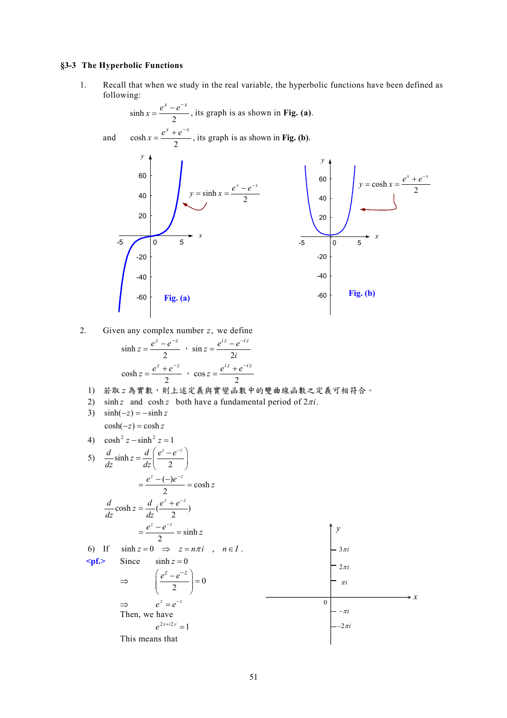## **§3-3 The Hyperbolic Functions**

1. Recall that when we study in the real variable, the hyperbolic functions have been defined as following:

$$
\sinh x = \frac{e^{x} - e^{-x}}{2}, \text{ its graph is as shown in Fig. (a).}
$$
  
and 
$$
\cosh x = \frac{e^{x} + e^{-x}}{2}, \text{ its graph is as shown in Fig. (b).}
$$
  
  
60  
40  
20  
20  
5  
  
7  
40  
-20  
60  
40  
20  
40  
40  
-60  
Fig. (a)  
Fig. (a)  
Fig. (a)

2. Given any complex number *z*, we define

$$
\sinh z = \frac{e^{z} - e^{-z}}{2}, \quad \sin z = \frac{e^{iz} - e^{-iz}}{2i}
$$
\n
$$
\cosh z = \frac{e^{z} + e^{-z}}{2}, \quad \cos z = \frac{e^{iz} + e^{-iz}}{2}
$$
\n
$$
\tan z = \frac{e^{iz} + e^{-iz}}{2}
$$

- 1) 若取 *z* 為實數,則上述定義與實變函數中的雙曲線函數之定義可相符合。
- 2) sinh *z* and cosh *z* both have a fundamental period of  $2\pi i$ .

3) 
$$
\sinh(-z) = -\sinh z
$$
  
\n $\cosh(-z) = \cosh z$ 

4) 
$$
\cosh^2 z - \sinh^2 z = 1
$$
  
\n5)  $\frac{d}{dz} \sinh z = \frac{d}{dz} \left( \frac{e^z - e^{-z}}{2} \right)$   
\n $= \frac{e^z - (-e^{-z})}{2} = \cosh z$   
\n $\frac{d}{dz} \cosh z = \frac{d}{dz} \left( \frac{e^z + e^{-z}}{2} \right)$   
\n $= \frac{e^z - e^{-z}}{2} = \sinh z$   
\n6) If  $\sinh z = 0 \implies z = n\pi i$ ,  $n \in I$ .  
\n**g.f.** Since  $\sinh z = 0$   
\n $\implies \left( \frac{e^z - e^{-z}}{2} \right) = 0$   
\n $\implies e^z = e^{-z}$   
\n $\implies e^z = e^{-z}$   
\nThen, we have  
\n $e^{2x + i2y} = 1$   
\nThis means that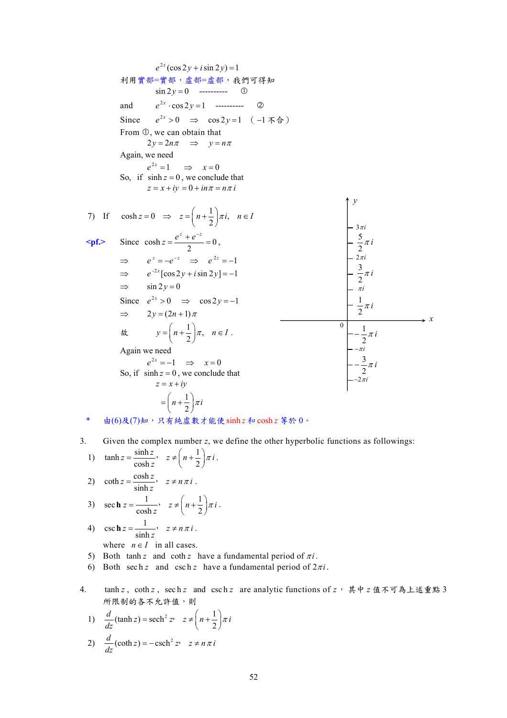$$
e^{2x}(\cos 2y + i \sin 2y) = 1
$$
  
\n $\pi \pi \pi \pi \pi \pi$   
\n $\pi \pi \pi \pi \pi \pi$   
\n $\pi \pi \pi \pi \pi$   
\nSince  $e^{2x} > 0 \implies \cos 2y = 1$  (1-176)  
\nFrom 0, we can obtain that  
\n $2y = 2n\pi \implies y = n\pi$   
\nAgain, we need  
\nSo, if  $\sinh z = 0$ , we conclude that  
\n $z = x + iy = 0 + i n\pi = n\pi i$   
\n $\varphi^{2x} = 1 \implies x = 0$   
\nSo, if  $\sinh z = 0$ , we conclude that  
\n $z = x + iy = 0 + i n\pi = n\pi i$   
\n7) If  $\cosh z = 0 \implies z = \left(n + \frac{1}{2}\right)\pi i, \quad n \in I$   
\n $\Rightarrow e^{z} = -e^{-z} \implies e^{2z} = -1$   
\n $\Rightarrow e^{z} = -e^{-z} \implies e^{2z} = -1$   
\n $\Rightarrow e^{z} = \cos 2y + i \sin 2y = -1$   
\n $\Rightarrow \sin 2y = 0$   
\nSince  $e^{2x} > 0 \implies \cos 2y = -1$   
\n $\Rightarrow 2y = (2n + 1)\pi$   
\n $\frac{dy}{dx} = y = \left(n + \frac{1}{2}\right)\pi, \quad n \in I$ .  
\nAgain we need  
\nAgain we need  
\n $e^{2x} = -1 \implies x = 0$   
\nSo, if  $\sinh z = 0$ , we conclude that  
\n $z = x + iy$   
\n $= \left(n + \frac{1}{2}\right)\pi i$ 

- \* 由(6)及(7)知,只有純虛數才能使sinh *z* 和cosh *z* 等於 0。
- 3. Given the complex number *z*, we define the other hyperbolic functions as followings:

1) 
$$
\tanh z = \frac{\sinh z}{\cosh z}, \quad z \neq \left(n + \frac{1}{2}\right) \pi i.
$$
  
\n2)  $\coth z = \frac{\cosh z}{\sinh z}, \quad z \neq n \pi i.$ 

3) 
$$
\sec \mathbf{h} \, z = \frac{1}{\cosh z}, \quad z \neq \left( n + \frac{1}{2} \right) \pi i
$$
.

4) 
$$
\csc \mathbf{h} \, z = \frac{1}{\sinh z}, \quad z \neq n \pi i.
$$

where  $n \in I$  in all cases.

- 5) Both tanh *z* and coth *z* have a fundamental period of  $\pi i$ .
- 6) Both sech *z* and csch *z* have a fundamental period of  $2\pi i$ .
- 4. tanh *z* , coth *z* , sec h *z* and csc h *z* are analytic functions of *z*, 其中 *z* 值不可為上述重點 3 所限制的各不允許值,則
	- 1)  $\frac{d}{dz}(\tanh z) = \operatorname{sech}^2 z$ ,  $z \neq \left(n + \frac{1}{2}\right)\pi i$  $=$  sech<sup>2</sup>  $z$ <sup>2</sup>  $\neq$   $\left(n+\frac{1}{2}\right)$

2) 
$$
\frac{d}{dz}(\coth z) = -\operatorname{csch}^{2} z, \quad z \neq n \pi i
$$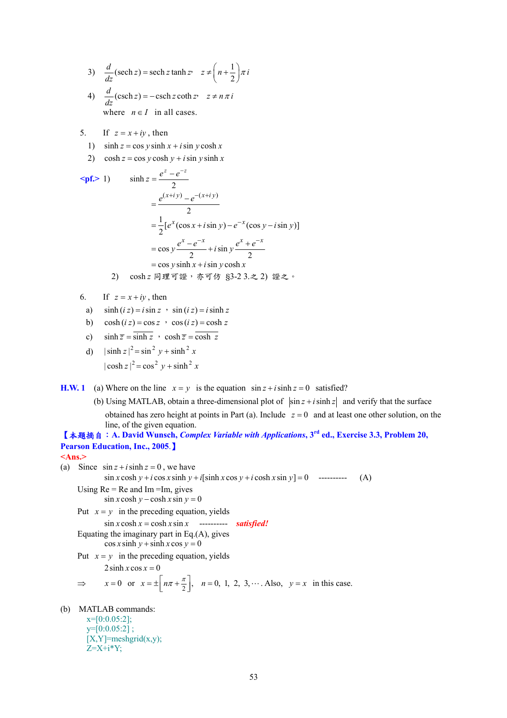3) 
$$
\frac{d}{dz}(\operatorname{sech} z) = \operatorname{sech} z \tanh z
$$
,  $z \neq \left(n + \frac{1}{2}\right) \pi i$ 

- 4)  $\frac{d}{dz}(\operatorname{csch} z) = -\operatorname{csch} z \coth z$ ,  $z \neq n \pi i$ where  $n \in I$  in all cases.
- 5. If  $z = x + iy$ , then
	- 1)  $\sinh z = \cos y \sinh x + i \sin y \cosh x$
	- 2)  $\cosh z = \cos y \cosh y + i \sin y \sinh x$

\n
$$
\sinh z = \frac{e^{z} - e^{-z}}{2}
$$
\n

\n\n $= \frac{e^{(x+iy)} - e^{-(x+iy)}}{2}$ \n

\n\n $= \frac{1}{2} [e^{x} (\cos x + i \sin y) - e^{-x} (\cos y - i \sin y)]$ \n

\n\n $= \cos y \frac{e^{x} - e^{-x}}{2} + i \sin y \frac{e^{x} + e^{-x}}{2}$ \n

\n\n $= \cos y \sinh x + i \sin y \cosh x$ \n

\n\n (2)  $\cosh z = \sqrt{1 + \sin y} \cosh x$ \n

\n\n (3)  $\sinh z + i \sin y \cosh x$ \n

\n\n (4)  $\sinh z = \sqrt{1 + \sin y} \cosh x$ \n

\n\n (5)  $\sinh x + i \sin y \cosh x$ \n

- 6. If  $z = x + iy$ , then
	- a)  $\sinh (iz) = i \sin z$ ,  $\sin (iz) = i \sinh z$
	- b)  $\cosh(iz) = \cos z$  ,  $\cos(iz) = \cosh z$

c) 
$$
\sinh \overline{z} = \overline{\sinh z}
$$
,  $\cosh \overline{z} = \overline{\cosh z}$ 

d) 
$$
|\sinh z|^2 = \sin^2 y + \sinh^2 x
$$
  
 $|\cosh z|^2 = \cos^2 y + \sinh^2 x$ 

**H.W. 1** (a) Where on the line  $x = y$  is the equation  $\sin z + i \sinh z = 0$  satisfied?

(b) Using MATLAB, obtain a three-dimensional plot of  $\left|\sin z + i \sinh z\right|$  and verify that the surface obtained has zero height at points in Part (a). Include  $z = 0$  and at least one other solution, on the line, of the given equation.

【本題摘自:**A. David Wunsch,** *Complex Variable with Applications***, 3rd ed., Exercise 3.3, Problem 20, Pearson Education, Inc., 2005**.】

**<Ans.>** 

```
(a) Since \sin z + i \sinh z = 0, we have
              \sin x \cosh y + i \cos x \sinh y + i \sinh x \cos y + i \cosh x \sin y = 0 ---------- (A)
```
Using  $Re = Re$  and  $Im = Im$ , gives  $\sin x \cosh y - \cosh x \sin y = 0$ 

Put  $x = y$  in the preceding equation, yields

 $\sin x \cosh x = \cosh x \sin x$  ---------- *satisfied!* 

Equating the imaginary part in Eq.(A), gives

 $\cos x \sinh y + \sinh x \cos y = 0$ 

Put  $x = y$  in the preceding equation, yields

 $2 \sinh x \cos x = 0$ 

$$
\Rightarrow \qquad x = 0 \quad \text{or} \quad x = \pm \left[ n\pi + \frac{\pi}{2} \right], \quad n = 0, 1, 2, 3, \cdots. \text{ Also, } y = x \text{ in this case.}
$$

(b) MATLAB commands:

 $x=[0:0.05:2];$  $y=[0:0.05:2]$ ;  $[X, Y]$ =meshgrid $(x,y)$ ;  $Z=X+i*Y;$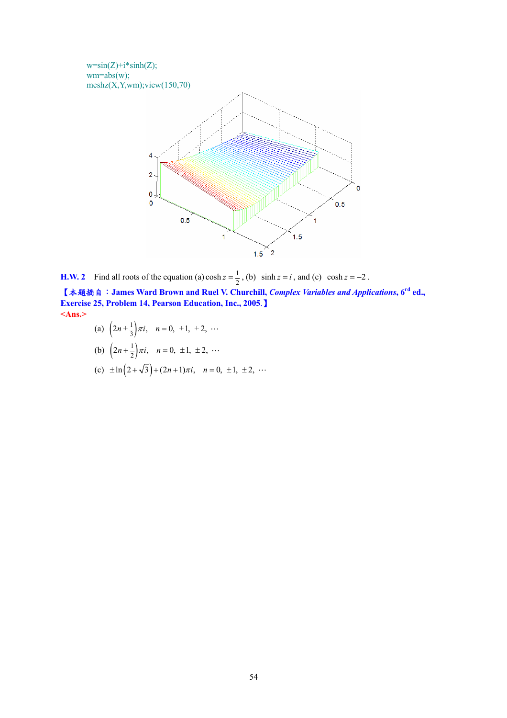

**H.W. 2** Find all roots of the equation (a)  $\cosh z = \frac{1}{2}$ , (b)  $\sinh z = i$ , and (c)  $\cosh z = -2$ .

【本題摘自:**James Ward Brown and Ruel V. Churchill,** *Complex Variables and Applications***, 6rd ed., Exercise 25, Problem 14, Pearson Education, Inc., 2005**.】 **<Ans.>**

- (a)  $\left(2n \pm \frac{1}{3}\right)\pi i$ ,  $n = 0, \pm 1, \pm 2, \cdots$
- (b)  $\left(2n+\frac{1}{2}\right)\pi i$ ,  $n=0, \pm 1, \pm 2, \cdots$
- (c)  $\pm \ln(2 + \sqrt{3}) + (2n + 1)\pi i$ ,  $n = 0, \pm 1, \pm 2, \cdots$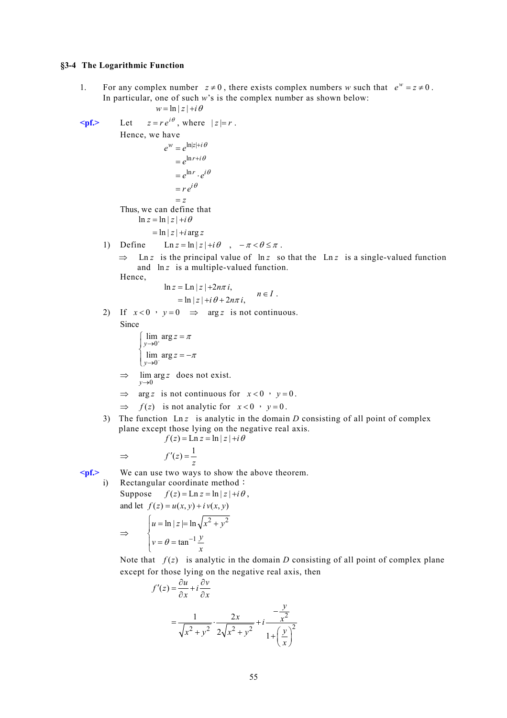#### **§3-4 The Logarithmic Function**

1. For any complex number  $z \neq 0$ , there exists complex numbers *w* such that  $e^w = z \neq 0$ . In particular, one of such *w*'s is the complex number as shown below:

$$
w = \ln |z| + i\theta
$$
  
\n
$$
\leq pf.
$$
 Let  $z = re^{i\theta}$ , where  $|z| = r$ .  
\nHence, we have  
\n
$$
e^w = e^{\ln |z| + i\theta}
$$
  
\n
$$
= e^{\ln r + i\theta}
$$
  
\n
$$
= e^{\ln r} \cdot e^{i\theta}
$$
  
\n
$$
= re^{i\theta}
$$
  
\n
$$
= z
$$
  
\nThus, we can define that  
\n
$$
\ln z = \ln |z| + i\theta
$$
  
\n
$$
= \ln |z| + i \arg z
$$

1) Define 
$$
\text{Ln } z = \ln |z| + i\theta
$$
,  $-\pi < \theta \le \pi$ .

 $\Rightarrow$  Ln *z* is the principal value of ln *z* so that the Ln *z* is a single-valued function and  $\ln z$  is a multiple-valued function.  $\overline{E}$ 

$$
\ln z = \ln |z| + 2n\pi i,
$$
  
=  $\ln |z| + i\theta + 2n\pi i$ ,  $n \in I$ .

2) If  $x < 0$ ,  $y = 0$   $\Rightarrow$   $\arg z$  is not continuous.

Since

$$
\begin{cases}\n\lim_{y \to 0^+} \arg z = \pi \\
\lim_{y \to 0^-} \arg z = -\pi\n\end{cases}
$$

- $\Rightarrow$   $\lim_{y\to 0} \arg z$  does not exist.
- $\Rightarrow$  arg *z* is not continuous for  $x < 0$ ,  $y = 0$ .

$$
\implies
$$
  $f(z)$  is not analytic for  $x < 0$ ,  $y = 0$ .

3) The function  $\text{Ln } z$  is analytic in the domain *D* consisting of all point of complex plane except those lying on the negative real axis.

$$
f(z) = \text{Ln } z = \ln |z| + i\theta
$$

$$
\Rightarrow \qquad f'(z) = \frac{1}{z}
$$

**<pf.>** We can use two ways to show the above theorem. i) Rectangular coordinate method: Suppose  $f(z) = \text{Ln } z = \ln |z| + i\theta$ , and let  $f(z) = u(x, y) + iv(x, y)$ ⇒  $2^{1,2}$ 1  $\ln |z| = \ln$ tan  $u = \ln |z| = \ln \sqrt{x^2 + y^2}$  $v = \theta = \tan^{-1} \frac{y}{x}$  $\theta$  = tan<sup>-</sup>  $\begin{cases} u = \ln |z| = \ln \sqrt{x^2 + 1} \\ 1 & \text{if } y \end{cases}$  $v = \theta =$ 

> Note that  $f(z)$  is analytic in the domain *D* consisting of all point of complex plane except for those lying on the negative real axis, then

$$
f'(z) = \frac{\partial u}{\partial x} + i \frac{\partial v}{\partial x}
$$
  
= 
$$
\frac{1}{\sqrt{x^2 + y^2}} \cdot \frac{2x}{2\sqrt{x^2 + y^2}} + i \frac{-\frac{y}{x^2}}{1 + \left(\frac{y}{x}\right)^2}
$$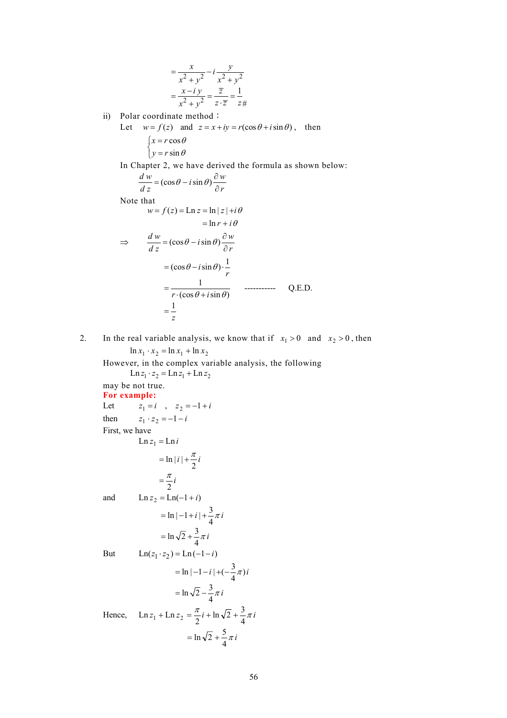$$
= \frac{x}{x^2 + y^2} - i \frac{y}{x^2 + y^2}
$$

$$
= \frac{x - iy}{x^2 + y^2} = \frac{\overline{z}}{z \cdot \overline{z}} = \frac{1}{z + z}
$$

ii) Polar coordinate method:

Let  $w = f(z)$  and  $z = x + iy = r(\cos \theta + i \sin \theta)$ , then ⎩  $\left\{\gamma = r \sin \theta\right\}$  $x = r \cos \theta$ 

In Chapter 2, we have derived the formula as shown below:

$$
\frac{d w}{d z} = (\cos \theta - i \sin \theta) \frac{\partial w}{\partial r}
$$

Note that

$$
w = f(z) = \text{Ln } z = \ln |z| + i\theta
$$
  
= ln r + i\theta  

$$
\Rightarrow \frac{dw}{dz} = (\cos \theta - i \sin \theta) \frac{\partial w}{\partial r}
$$
  
=  $(\cos \theta - i \sin \theta) \cdot \frac{1}{r}$   
=  $\frac{1}{r \cdot (\cos \theta + i \sin \theta)}$  ....... Q.E.D.  
=  $\frac{1}{z}$ 

2. In the real variable analysis, we know that if  $x_1 > 0$  and  $x_2 > 0$ , then  $\ln x_1 \cdot x_2 = \ln x_1 + \ln x_2$ 

However, in the complex variable analysis, the following  $\text{Ln } z_1 \cdot z_2 = \text{Ln } z_1 + \text{Ln } z_2$ may be not true. **For example:**  Let  $z_1 = i$ ,  $z_2 = -1 + i$ then  $z_1 \cdot z_2 = -1 - i$ First, we have  $\text{Ln } z_1 = \text{Ln } i$  $=$  ln | i | +  $\frac{\pi}{2}$  i  $=\frac{\pi}{2}i$ and  $\ln z_2 = \ln(-1 + i)$  $= \ln |-1 + i| + \frac{3}{4}\pi i$  $= \ln \sqrt{2} + \frac{3}{4} \pi i$ But  $\text{Ln}(z_1 \cdot z_2) = \text{Ln}(-1 - i)$  $= \ln |-1 - i| + (-\frac{3}{4}\pi)i$  $=$  ln  $\sqrt{2} - \frac{3}{4}\pi i$ Hence,  $\text{Ln } z_1 + \text{Ln } z_2 = \frac{\pi}{2} i + \text{ln } \sqrt{2} + \frac{3}{4} \pi i$  $= \ln \sqrt{2} + \frac{5}{4} \pi i$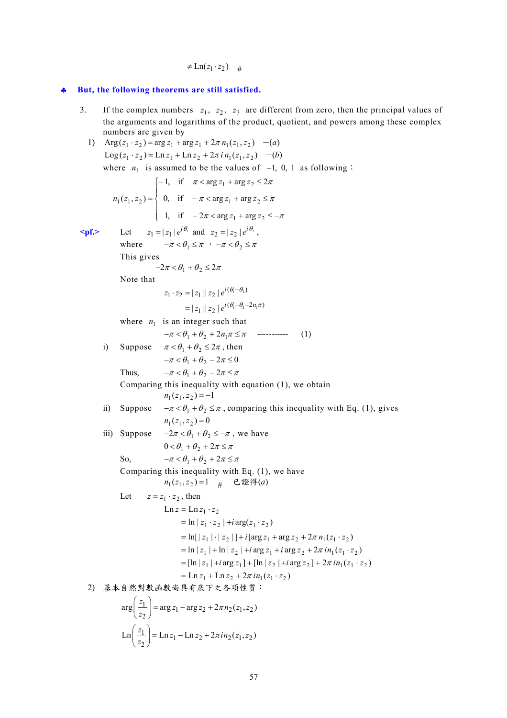$\neq$  Ln( $z_1 \cdot z_2$ ) #

## ♣ **But, the following theorems are still satisfied.**

3. If the complex numbers  $z_1$ ,  $z_2$ ,  $z_3$  are different from zero, then the principal values of the arguments and logarithms of the product, quotient, and powers among these complex numbers are given by

1) 
$$
Arg(z_1, z_2) = arg z_1 + arg z_1 + 2\pi n_1(z_1, z_2) - (a)
$$
  
\n $Log(z_1, z_2) = Ln z_1 + Ln z_2 + 2\pi i n_1(z_1, z_2) - (b)$   
\nwhere  $n_1$  is assumed to be the values of -1, 0, 1 as following:  
\n $n_1(z_1, z_2) = \begin{cases} -1, & \text{if } \pi < arg z_1 + arg z_2 \le 2\pi \\ 0, & \text{if } -\pi < arg z_1 + arg z_2 \le \pi \end{cases}$   
\n $n_1(z_1, z_2) = \begin{cases} -1, & \text{if } \pi < arg z_1 + arg z_2 \le \pi \\ 0, & \text{if } -2\pi < arg z_1 + arg z_2 \le -\pi \end{cases}$   
\n $\Rightarrow$   $Tr(z_1, z_2) = \begin{cases} -1, & \text{if } \pi < arg z_1 + arg z_2 \le -\pi \\ 1, & \text{if } -2\pi < arg z_1 + arg z_2 \le -\pi \end{cases}$   
\nThe gives  
\n $\Rightarrow 2\pi < \theta_1 + \theta_2 \le 2\pi$   
\nNote that  
\n $z_1 \cdot z_2 = |z_1||z_2|e^{i(\theta_1 + \theta_2 + 2n_1\pi)} \cos(\theta_1 + \theta_2 + 2n_1\pi) \sin(\theta_1 + \theta_2 + 2n_1\pi) \sin(\theta_1 + \theta_2 + 2n_1\pi) \sin(\theta_1 + \theta_2 + 2n_1\pi) \sin(\theta_1 + \theta_2 + 2n_1\pi) \sin(\theta_1 + \theta_2 + 2n_1\pi) \sin(\theta_1 + \theta_2 + 2n_1\pi) \sin(\theta_1 + \theta_2 + 2n_1\pi) \sin(\theta_1 + \theta_2 + 2n_1\pi) \sin(\theta_1 + \theta_2 + 2n_1\pi) \sin(\theta_1 + \theta_2 + 2n_1\pi) \sin(\theta_1 + \theta_2 + 2n_1\pi) \sin(\theta_1 + \theta_2 + 2n_1\pi) \sin(\theta_1 + \theta_2 + 2n_1\pi) \sin(\theta_1 + \theta_2 + 2n_1\pi) \$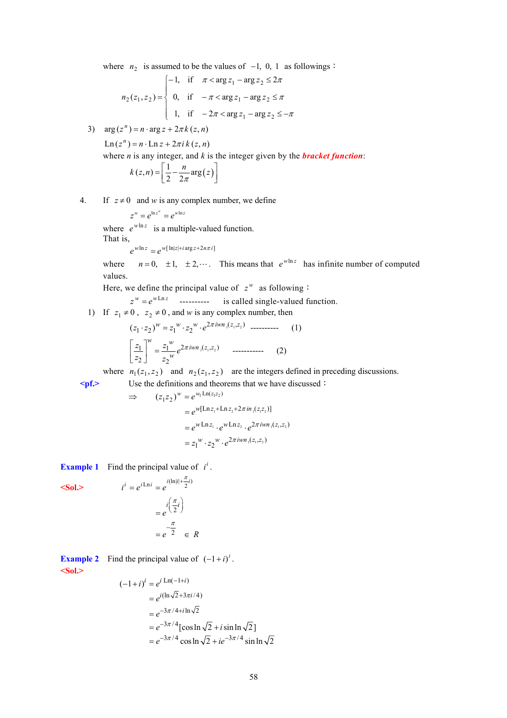where  $n_2$  is assumed to be the values of  $-1$ , 0, 1 as followings:

$$
n_2(z_1, z_2) = \begin{cases} -1, & \text{if } \pi < \arg z_1 - \arg z_2 \le 2\pi \\ 0, & \text{if } -\pi < \arg z_1 - \arg z_2 \le \pi \\ 1, & \text{if } -2\pi < \arg z_1 - \arg z_2 \le -\pi \end{cases}
$$

3)  $arg(z^n) = n \cdot arg z + 2\pi k(z, n)$ 

 $\text{Ln}(z^n) = n \cdot \text{Ln} z + 2\pi i k(z, n)$ 

where *n* is any integer, and *k* is the integer given by the *bracket function*:

$$
k(z,n) = \left[\frac{1}{2} - \frac{n}{2\pi} \arg(z)\right]
$$

4. If  $z \neq 0$  and *w* is any complex number, we define

$$
z^w=e^{\ln z^w}=e^{w\ln z}
$$

where  $e^{w \ln z}$  is a multiple-valued function.

That is, 
$$
w \ln z
$$

$$
e^{w\ln z} = e^{w[\ln|z| + i\arg z + 2n\pi i]}
$$

where  $n = 0, \pm 1, \pm 2, \cdots$ . This means that  $e^{w \ln z}$  has infinite number of computed values.

Here, we define the principal value of  $z^w$  as following:

 $z^w = e^{w \text{Ln } z}$  ---------- is called single-valued function.

1) If 
$$
z_1 \neq 0
$$
,  $z_2 \neq 0$ , and w is any complex number, then

$$
(z_1 \cdot z_2)^w = z_1^w \cdot z_2^w \cdot e^{2\pi i w n_1(z_1, z_2)} \dots \dots \dots \dots \quad (1)
$$

$$
\left[\frac{z_1}{z_2}\right]^w = \frac{z_1^w}{z_2^w} e^{2\pi i w n_1(z_1, z_2)} \dots \dots \dots \dots \dots \quad (2)
$$

where  $n_1(z_1, z_2)$  and  $n_2(z_1, z_2)$  are the integers defined in preceding discussions. **<pf.>** Use the definitions and theorems that we have discussed:

$$
\Rightarrow (z_1 z_2)^w = e^{w_1 \text{Ln}(z_1 z_2)} \n= e^{w[\text{Ln} z_1 + \text{Ln} z_2 + 2\pi i n_1 (z_1 z_2)]} \n= e^{w \text{Ln} z_1} \cdot e^{w \text{Ln} z_2} \cdot e^{2\pi i w n_1 (z_1, z_2)} \n= z_1^w \cdot z_2^w \cdot e^{2\pi i w n_1 (z_1, z_2)}
$$

**Example 1** Find the principal value of  $i^i$ .

$$
i^{i} = e^{i \text{Ln} i} = e^{i(\text{Ln}|i + \frac{\pi}{2}i)}
$$

$$
= e^{i(\frac{\pi}{2}i)}
$$

$$
= e^{\frac{\pi}{2}} \in R
$$

**Example 2** Find the principal value of  $(-1+i)^i$ . **<Sol.>** 

$$
\sim 501
$$

$$
(-1+i)^i = e^{i \operatorname{Ln}(-1+i)}
$$
  
=  $e^{i(\ln \sqrt{2}+3\pi i/4)}$   
=  $e^{-3\pi/4+i\ln\sqrt{2}}$   
=  $e^{-3\pi/4}[\cos \ln \sqrt{2} + i \sin \ln \sqrt{2}]$   
=  $e^{-3\pi/4} \cos \ln \sqrt{2} + ie^{-3\pi/4} \sin \ln \sqrt{2}$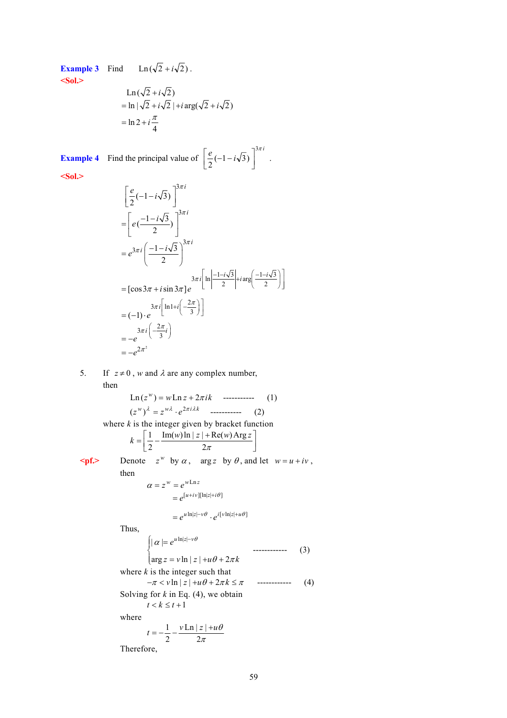# **Example 3** Find Ln  $(\sqrt{2} + i\sqrt{2})$ . **<Sol.>**

$$
\begin{aligned} &\text{Ln}\left(\sqrt{2} + i\sqrt{2}\right) \\ &= \ln|\sqrt{2} + i\sqrt{2}\,| + i\arg(\sqrt{2} + i\sqrt{2}) \\ &= \ln 2 + i\frac{\pi}{4} \end{aligned}
$$

**Example 4** Find the principal value of  $\left[ \frac{e}{2}(-1-i\sqrt{3}) \right]^{3\pi i}$  $\left\lfloor \frac{e}{2}(-1 - i\sqrt{3}) \right\rfloor$  $\left[\frac{e}{2}(-1-i\sqrt{3})\right]^{3n}$ .

5. If  $z \neq 0$ , *w* and  $\lambda$  are any complex number,

**<Sol.>** 

$$
\begin{aligned}\n&\left[\frac{e}{2}(-1-i\sqrt{3})\right]^{3\pi i} \\
&= \left[e\left(\frac{-1-i\sqrt{3}}{2}\right)\right]^{3\pi i} \\
&= e^{3\pi i} \left(\frac{-1-i\sqrt{3}}{2}\right)^{3\pi i} \\
&= [\cos 3\pi + i \sin 3\pi] e^{3\pi i \left[\ln\left|\frac{-1-i\sqrt{3}}{2}\right| + i \arg\left(\frac{-1-i\sqrt{3}}{2}\right)\right]} \\
&= (-1) \cdot e^{3\pi i \left[\ln 1 + i\left(\frac{-2\pi}{3}\right)\right]} \\
&= -e^{3\pi i \left(\frac{-2\pi}{3}i\right)} \\
&= -e^{2\pi^2} \\
&= -e^{2\pi^2}\n\end{aligned}
$$

then  
\n
$$
Ln(z^{w}) = wLn z + 2\pi i k
$$
................. (1)  
\n
$$
(z^{w})^{\lambda} = z^{w\lambda} \cdot e^{2\pi i \lambda k}
$$
................. (2)  
\nwhere *k* is the integer given by bracket function  
\n
$$
k = \left[\frac{1}{2} - \frac{Im(w) \ln |z| + Re(w) Arg z}{2\pi}\right]
$$
\n
$$
pf. Denote  $z^{w}$  by  $\alpha$ , arg z by  $\theta$ , and let  $w = u + iv$ ,  
\nthen  
\n
$$
\alpha = z^{w} = e^{wLn z}
$$
\n
$$
= e^{[u+iv][\ln |z| + i\theta]}
$$
\n
$$
= e^{u \ln |z| - v\theta} \cdot e^{i[v \ln |z| + u\theta]}
$$
\nThus,  
\n
$$
\int |\alpha| = e^{u \ln |z| - v\theta}
$$
\n
$$
arg z = v \ln |z| + u\theta + 2\pi k
$$
\nwhere *k* is the integer such that  
\n $-\pi < v \ln |z| + u\theta + 2\pi k \le \pi$   
\nSolving for *k* in Eq. (4), we obtain  
\n $t < k \le t + 1$   
\nwhere  
\n $t = -\frac{1}{2} - \frac{vLn |z| + u\theta}{2\pi}$   
\nTherefore,
$$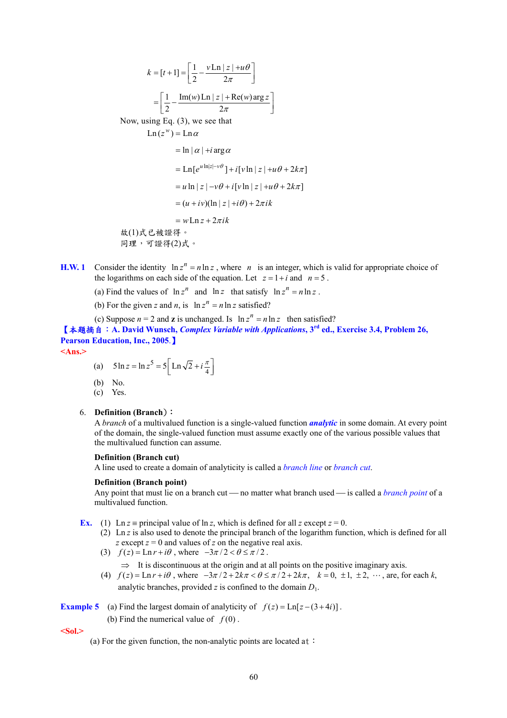$$
k = [t+1] = \left[\frac{1}{2} - \frac{v \ln |z| + u\theta}{2\pi}\right]
$$

$$
= \left[\frac{1}{2} - \frac{\text{Im}(w) \ln |z| + \text{Re}(w) \text{arg } z}{2\pi}\right]
$$
Now, using Eq. (3), we see that
$$
\ln(z^w) = \text{Ln }\alpha
$$

$$
= \ln |\alpha| + i \arg \alpha
$$

$$
= \text{Ln}[e^{u \ln |z| - v\theta}] + i[v \ln |z| + u\theta + 2k\pi]
$$

$$
= u \ln |z| - v\theta + i[v \ln |z| + u\theta + 2k\pi]
$$

$$
= (u + iv)(\ln |z| + i\theta) + 2\pi ik
$$

$$
= w \ln z + 2\pi ik
$$

- **H.W. 1** Consider the identity  $\ln z^n = n \ln z$ , where *n* is an integer, which is valid for appropriate choice of the logarithms on each side of the equation. Let  $z = 1 + i$  and  $n = 5$ .
	- (a) Find the values of  $\ln z^n$  and  $\ln z$  that satisfy  $\ln z^n = n \ln z$ .
	- (b) For the given *z* and *n*, is  $\ln z^n = n \ln z$  satisfied?
	- (c) Suppose  $n = 2$  and **z** is unchanged. Is  $\ln z^n = n \ln z$  then satisfied?

【本題摘自:**A. David Wunsch,** *Complex Variable with Applications***, 3rd ed., Exercise 3.4, Problem 26, Pearson Education, Inc., 2005**.】

**<Ans.>** 

- (a)  $5 \ln z = \ln z^5 = 5 \left[ \ln \sqrt{2} + i \frac{\pi}{4} \right]$
- (b) No.
- $\overrightarrow{c}$  Yes.

### 6. **Definition (Branch**):

A *branch* of a multivalued function is a single-valued function *analytic* in some domain. At every point of the domain, the single-valued function must assume exactly one of the various possible values that the multivalued function can assume.

#### **Definition (Branch cut)**

A line used to create a domain of analyticity is called a *branch line* or *branch cut*.

### **Definition (Branch point)**

Any point that must lie on a branch cut — no matter what branch used — is called a *branch point* of a multivalued function.

- **Ex.** (1) Ln *z* = principal value of ln *z*, which is defined for all *z* except  $z = 0$ .
	- (2) Ln *z* is also used to denote the principal branch of the logarithm function, which is defined for all *z* except *z* = 0 and values of *z* on the negative real axis.
		- (3)  $f(z) = \text{Ln } r + i\theta$ , where  $-3\pi/2 < \theta \le \pi/2$ .
			- $\Rightarrow$  It is discontinuous at the origin and at all points on the positive imaginary axis.
		- (4)  $f(z) = \text{Ln } r + i\theta$ , where  $-3\pi/2 + 2k\pi < \theta \le \pi/2 + 2k\pi$ ,  $k = 0, \pm 1, \pm 2, \cdots$ , are, for each k, analytic branches, provided *z* is confined to the domain  $D_1$ .

**Example 5** (a) Find the largest domain of analyticity of  $f(z) = \text{Ln}[z - (3 + 4i)]$ .

(b) Find the numerical value of  $f(0)$ .

**<Sol.>** 

(a) For the given function, the non-analytic points are located at: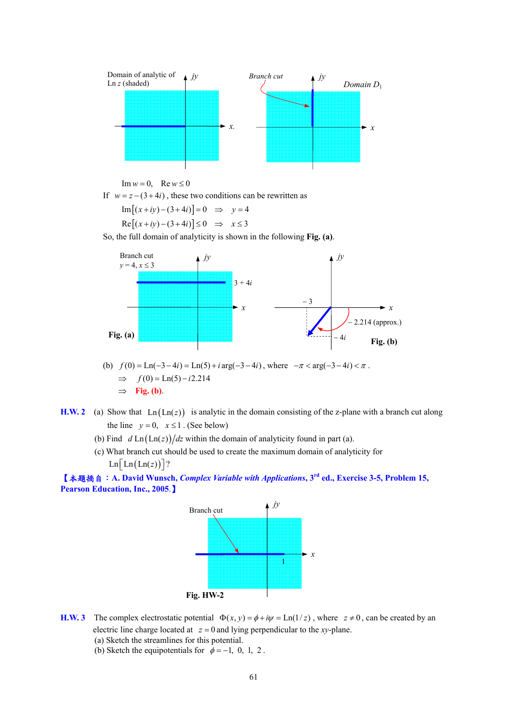

$$
\operatorname{Im} w = 0, \quad \operatorname{Re} w \le 0
$$

If  $w = z - (3 + 4i)$ , these two conditions can be rewritten as

$$
Im[(x+iy)-(3+4i)]=0 \Rightarrow y=4
$$
  
Re[(x+iy)-(3+4i)] $\leq 0 \Rightarrow x \leq 3$ 

So, the full domain of analyticity is shown in the following **Fig. (a)**.



- (b)  $f(0) = \text{Ln}(-3 4i) = \text{Ln}(5) + i \arg(-3 4i)$ , where  $-\pi < \arg(-3 4i) < \pi$ .  $\implies$   $f(0) = \text{Ln}(5) - i2.214$ ⇒ **Fig. (b)**.
- **H.W. 2** (a) Show that  $Ln(Ln(z))$  is analytic in the domain consisting of the z-plane with a branch cut along the line  $y = 0$ ,  $x \le 1$ . (See below)
	- (b) Find  $d \text{Ln}(\text{Ln}(z))/dz$  within the domain of analyticity found in part (a).
	- (c) What branch cut should be used to create the maximum domain of analyticity for  $\text{Ln} \left[ \text{Ln} (\text{Ln}(z)) \right]$ ?

【本題摘自:**A. David Wunsch,** *Complex Variable with Applications***, 3rd ed., Exercise 3-5, Problem 15, Pearson Education, Inc., 2005**.】



- **H.W. 3** The complex electrostatic potential  $\Phi(x, y) = \phi + i\psi = \text{Ln}(1/z)$ , where  $z \neq 0$ , can be created by an electric line charge located at  $z = 0$  and lying perpendicular to the *xy*-plane.
	- (a) Sketch the streamlines for this potential.
	- (b) Sketch the equipotentials for  $\phi = -1$ , 0, 1, 2.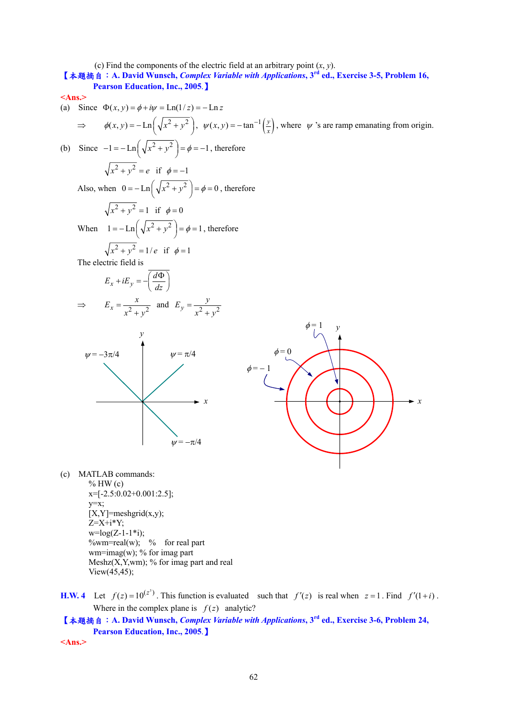(c) Find the components of the electric field at an arbitrary point  $(x, y)$ .

**<sup>1</sup> A David Wunsch,** *Complex Variable with Applications***, 3<sup>rd</sup> ed., Exercise 3-5, Problem 16,** 

**Pearson Education, Inc., 2005**.】 **<Ans.>**  (a) Since Φ = + = =− ( , ) Ln(1/ ) Ln *x yi z z* φ <sup>ψ</sup> <sup>⇒</sup> 2 2 <sup>φ</sup>( , ) Ln *<sup>x</sup> y xy* ⎛ ⎞ =− + ⎜ ⎟ ⎝ ⎠, ( ) <sup>1</sup> ( , ) tan *<sup>y</sup> <sup>x</sup>* <sup>ψ</sup> *x y* <sup>−</sup> = − , where <sup>ψ</sup> 's are ramp emanating from origin. (b) Since 2 2 1 Ln 1 *x y* <sup>φ</sup> ⎛ ⎞ − =− + = =− ⎜ ⎟ ⎝ ⎠ , therefore 2 2 *x* + = *y e* if φ = −1 Also, when 2 2 0 Ln 0 *x y* <sup>φ</sup> ⎛ ⎞ =− + = = ⎜ ⎟ ⎝ ⎠ , therefore 2 2 *x y* + = 1 if φ = 0 When 2 2 1 Ln 1 *x y* <sup>φ</sup> ⎛ ⎞ =− + = = ⎜ ⎟ ⎝ ⎠ , therefore 2 2 *x* + = *y e* 1/ if φ = 1 The electric field is *x y <sup>d</sup> E iE dz* ⎛ ⎞ Φ + =−⎜ ⎟ ⎝ ⎠ <sup>⇒</sup> 2 2 *<sup>x</sup> <sup>x</sup> <sup>E</sup> <sup>x</sup> <sup>y</sup>* <sup>=</sup> <sup>+</sup> and 2 2 *<sup>y</sup> <sup>y</sup> <sup>E</sup> <sup>x</sup> <sup>y</sup>* <sup>=</sup> <sup>+</sup> (c) MATLAB commands: <sup>ψ</sup> = π/4 <sup>ψ</sup> = −π/4 <sup>ψ</sup> = −3π/4 *x y* φ *y* = 1 φ = 0 φ = − 1

*x*

- $%$  HW (c)  $x=[-2.5:0.02+0.001:2.5]$ ; y=x;  $[X, Y]$ =meshgrid $(x,y)$ ;  $Z=X+i*Y$ ;  $w = log(Z-1-1+i);$  $\%$ wm=real(w); % for real part wm=imag(w); % for imag part Meshz $(X, Y, w)$ ; % for imag part and real View(45,45);
- **H.W. 4** Let  $f(z) = 10^{(z^3)}$ . This function is evaluated such that  $f'(z)$  is real when  $z = 1$ . Find  $f'(1+i)$ . Where in the complex plane is  $f(z)$  analytic?

【本題摘自:**A. David Wunsch,** *Complex Variable with Applications***, 3rd ed., Exercise 3-6, Problem 24, Pearson Education, Inc., 2005**.】

**<Ans.>**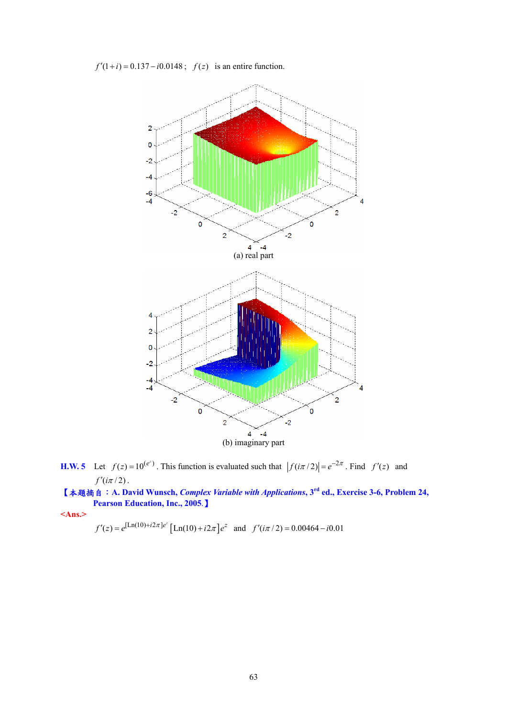$f'(1+i) = 0.137 - i0.0148$ ;  $f(z)$  is an entire function.



**H.W. 5** Let  $f(z) = 10^{(e^z)}$ . This function is evaluated such that  $|f(i\pi/2)| = e^{-2\pi}$ . Find  $f'(z)$  and  $f'(i\pi/2)$ .

【本題摘自:**A. David Wunsch,** *Complex Variable with Applications***, 3rd ed., Exercise 3-6, Problem 24, Pearson Education, Inc., 2005**.】

**<Ans.>** 

$$
f'(z) = e^{[\text{Ln}(10) + i2\pi]e^z} [\text{Ln}(10) + i2\pi]e^z
$$
 and  $f'(\text{i}\pi/2) = 0.00464 - i0.01$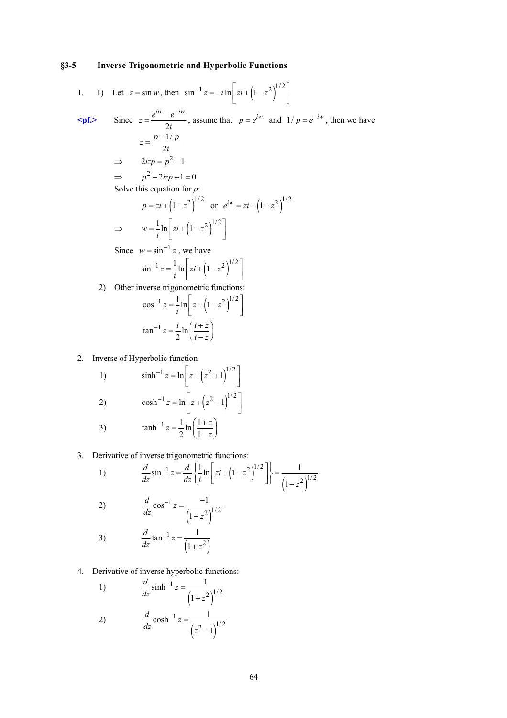## **§3-5 Inverse Trigonometric and Hyperbolic Functions**

1. 1) Let 
$$
z = \sin w
$$
, then  $\sin^{-1} z = -i \ln \left[ z i + (1 - z^2)^{1/2} \right]$   
\n**spf.** Since  $z = \frac{e^{iw} - e^{-iw}}{2i}$ , assume that  $p = e^{iw}$  and  $1/p = e^{-iw}$ , then we have  
\n $z = \frac{p - 1/p}{2i}$   
\n $\Rightarrow 2izp = p^2 - 1$   
\n $\Rightarrow p^2 - 2izp - 1 = 0$   
\nSolve this equation for p:  
\n $p = zi + (1 - z^2)^{1/2}$  or  $e^{iw} = zi + (1 - z^2)^{1/2}$   
\n $\Rightarrow w = \frac{1}{i} \ln \left[ zi + (1 - z^2)^{1/2} \right]$   
\nSince  $w = \sin^{-1} z$ , we have  
\n $\sin^{-1} z = \frac{1}{i} \ln \left[ zi + (1 - z^2)^{1/2} \right]$   
\n2) Other inverse trigonometric functions:  
\n $\cos^{-1} z = \frac{1}{i} \ln \left[ z + (1 - z^2)^{1/2} \right]$   
\n $\tan^{-1} z = \frac{i}{2} \ln \left( \frac{i + z}{i - z} \right)$ 

2. Inverse of Hyperbolic function

1) 
$$
\sinh^{-1} z = \ln \left[ z + (z^2 + 1)^{1/2} \right]
$$
  
\n2)  $\cosh^{-1} z = \ln \left[ z + (z^2 - 1)^{1/2} \right]$   
\n3)  $\tanh^{-1} z = \frac{1}{2} \ln \left( \frac{1+z}{1+z} \right)$ 

3) 
$$
\tanh^{-1} z = \frac{1}{2} \ln \left( \frac{1+z}{1-z} \right)
$$

3. Derivative of inverse trigonometric functions:

1) 
$$
\frac{d}{dz}\sin^{-1}z = \frac{d}{dz}\left\{\frac{1}{i}\ln\left[zi + \left(1-z^2\right)^{1/2}\right]\right\} = \frac{1}{\left(1-z^2\right)^{1/2}}
$$
  
2) 
$$
\frac{d}{dz}\cos^{-1}z = \frac{-1}{\left(1-z^2\right)^{1/2}}
$$
  
3) 
$$
\frac{d}{dz}\tan^{-1}z = \frac{1}{\left(1+z^2\right)}
$$
  
4. Derivative of inverse hyperbolic functions:  
1) 
$$
\frac{d}{dz}\sinh^{-1}z = \frac{1}{1-z}
$$

1)  $(1+z^2)$  $(2)^{1/2}$  $\sinh^{-1} z = \frac{1}{\cosh^{-1} z}$  $\frac{d}{dz} \sinh^{-1} z = \frac{z}{\left(1+z\right)}$ +

2) 
$$
\frac{d}{dz} \cosh^{-1} z = \frac{1}{(z^2 - 1)^{1/2}}
$$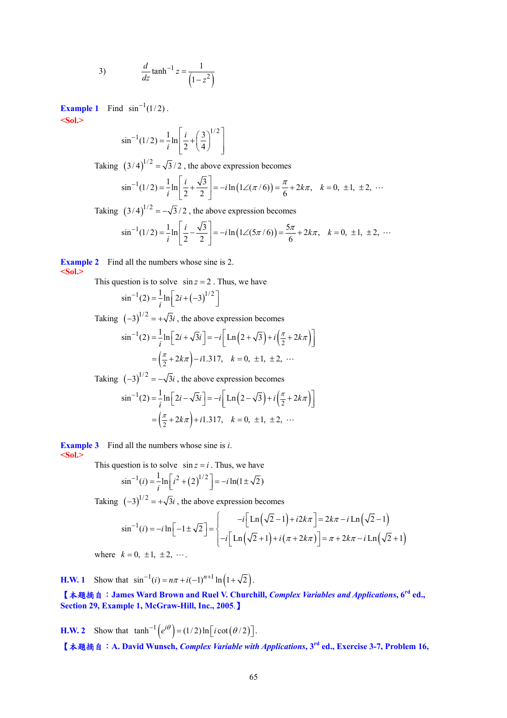3) 
$$
\frac{d}{dz} \tanh^{-1} z = \frac{1}{\left(1 - z^2\right)}
$$

**Example 1** Find  $\sin^{-1}(1/2)$ . **<Sol.>** 

$$
\sin^{-1}(1/2) = \frac{1}{i} \ln \left[ \frac{i}{2} + \left( \frac{3}{4} \right)^{1/2} \right]
$$

Taking  $(3/4)^{1/2} = \sqrt{3}/2$ , the above expression becomes

$$
\sin^{-1}(1/2) = \frac{1}{i}\ln\left[\frac{i}{2} + \frac{\sqrt{3}}{2}\right] = -i\ln\left(1\angle(\pi/6)\right) = \frac{\pi}{6} + 2k\pi, \quad k = 0, \pm 1, \pm 2, \cdots
$$

Taking  $(3/4)^{1/2} = -\sqrt{3}/2$ , the above expression becomes

$$
\sin^{-1}(1/2) = \frac{1}{i} \ln \left[ \frac{i}{2} - \frac{\sqrt{3}}{2} \right] = -i \ln (1 \angle (5\pi/6)) = \frac{5\pi}{6} + 2k\pi, \quad k = 0, \pm 1, \pm 2, \cdots
$$

**Example 2** Find all the numbers whose sine is 2. **<Sol.>** 

This question is to solve  $\sin z = 2$ . Thus, we have

$$
\sin^{-1}(2) = \frac{1}{i} \ln \left[ 2i + (-3)^{1/2} \right]
$$

Taking  $(-3)^{1/2} = +\sqrt{3}i$ , the above expression becomes

$$
\sin^{-1}(2) = \frac{1}{i} \ln \left[ 2i + \sqrt{3}i \right] = -i \left[ \ln \left( 2 + \sqrt{3} \right) + i \left( \frac{\pi}{2} + 2k\pi \right) \right]
$$

$$
= \left( \frac{\pi}{2} + 2k\pi \right) - i 1.317, \quad k = 0, \pm 1, \pm 2, \cdots
$$

Taking  $(-3)^{1/2} = -\sqrt{3}i$ , the above expression becomes

$$
\sin^{-1}(2) = \frac{1}{i} \ln \left[ 2i - \sqrt{3}i \right] = -i \left[ \ln \left( 2 - \sqrt{3} \right) + i \left( \frac{\pi}{2} + 2k\pi \right) \right]
$$

$$
= \left( \frac{\pi}{2} + 2k\pi \right) + i1.317, \quad k = 0, \pm 1, \pm 2, \cdots
$$

**Example 3** Find all the numbers whose sine is *i*. **<Sol.>** 

This question is to solve  $\sin z = i$ . Thus, we have

$$
\sin^{-1}(i) = \frac{1}{i} \ln \left[ i^2 + (2)^{1/2} \right] = -i \ln(1 \pm \sqrt{2})
$$

Taking  $(-3)^{1/2} = +\sqrt{3}i$ , the above expression becomes

$$
\sin^{-1}(i) = -i\ln\left[-1 \pm \sqrt{2}\right] = \begin{cases}\n-i\left[\ln\left(\sqrt{2}-1\right) + i2k\pi\right] = 2k\pi - i\ln\left(\sqrt{2}-1\right) \\
-i\left[\ln\left(\sqrt{2}+1\right) + i\left(\pi + 2k\pi\right)\right] = \pi + 2k\pi - i\ln\left(\sqrt{2}+1\right)\n\end{cases}
$$

where  $k = 0, \pm 1, \pm 2, \cdots$ .

**H.W. 1** Show that  $\sin^{-1}(i) = n\pi + i(-1)^{n+1} \ln(1+\sqrt{2})$ .

【本題摘自:**James Ward Brown and Ruel V. Churchill,** *Complex Variables and Applications***, 6rd ed., Section 29, Example 1, McGraw-Hill, Inc., 2005**.】

**H.W. 2** Show that  $\tanh^{-1}( e^{i\theta}) = (1/2) \ln \left[ i \cot \left( \frac{\theta}{2} \right) \right]$ .

【本題摘自:**A. David Wunsch,** *Complex Variable with Applications***, 3rd ed., Exercise 3-7, Problem 16,**